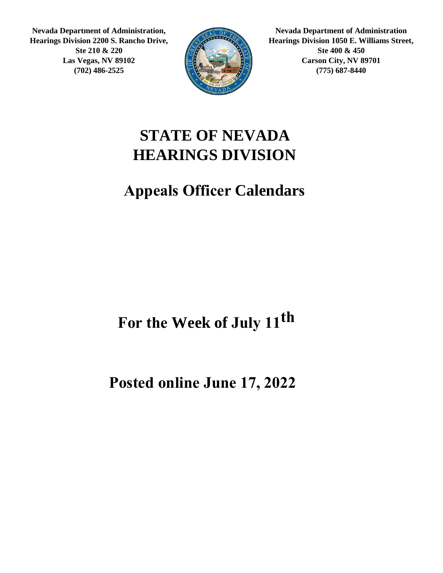**Nevada Department of Administration, Hearings Division 2200 S. Rancho Drive, Ste 210 & 220 Las Vegas, NV 89102 (702) 486-2525**



**Nevada Department of Administration Hearings Division 1050 E. Williams Street, Ste 400 & 450 Carson City, NV 89701 (775) 687-8440**

#### **STATE OF NEVADA HEARINGS DIVISION**

#### **Appeals Officer Calendars**

#### For the Week of July 11<sup>th</sup>

#### **Posted online June 17, 2022**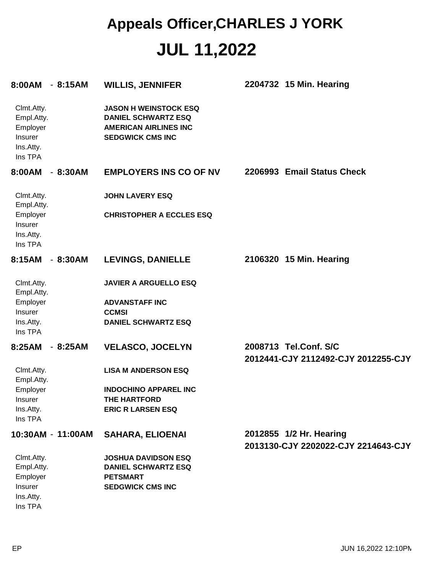| $-8:15AM$<br>8:00AM                                                     | <b>WILLIS, JENNIFER</b>                                                                                               | 2204732 15 Min. Hearing                                        |
|-------------------------------------------------------------------------|-----------------------------------------------------------------------------------------------------------------------|----------------------------------------------------------------|
| Clmt.Atty.<br>Empl.Atty.<br>Employer<br>Insurer<br>Ins.Atty.<br>Ins TPA | <b>JASON H WEINSTOCK ESQ</b><br><b>DANIEL SCHWARTZ ESQ</b><br><b>AMERICAN AIRLINES INC</b><br><b>SEDGWICK CMS INC</b> |                                                                |
| 8:00AM<br>$-8:30AM$                                                     | <b>EMPLOYERS INS CO OF NV</b>                                                                                         | 2206993 Email Status Check                                     |
| Clmt.Atty.<br>Empl.Atty.                                                | <b>JOHN LAVERY ESQ</b>                                                                                                |                                                                |
| Employer<br>Insurer<br>Ins.Atty.<br>Ins TPA                             | <b>CHRISTOPHER A ECCLES ESQ</b>                                                                                       |                                                                |
| 8:15AM<br>$-8:30AM$                                                     | <b>LEVINGS, DANIELLE</b>                                                                                              | 2106320 15 Min. Hearing                                        |
| Clmt.Atty.<br>Empl.Atty.<br>Employer<br>Insurer<br>Ins.Atty.<br>Ins TPA | <b>JAVIER A ARGUELLO ESQ</b><br><b>ADVANSTAFF INC</b><br><b>CCMSI</b><br><b>DANIEL SCHWARTZ ESQ</b>                   |                                                                |
| 8:25AM<br>$-8:25AM$                                                     | <b>VELASCO, JOCELYN</b>                                                                                               | 2008713 Tel.Conf. S/C<br>2012441-CJY 2112492-CJY 2012255-CJY   |
| Clmt.Atty.<br>Empl.Atty.                                                | <b>LISA M ANDERSON ESQ</b>                                                                                            |                                                                |
| Employer                                                                | <b>INDOCHINO APPAREL INC</b>                                                                                          |                                                                |
| Insurer<br>Ins.Atty.<br>Ins TPA                                         | THE HARTFORD<br><b>ERIC R LARSEN ESQ</b>                                                                              |                                                                |
| 10:30AM - 11:00AM                                                       | <b>SAHARA, ELIOENAI</b>                                                                                               | 2012855 1/2 Hr. Hearing<br>2013130-CJY 2202022-CJY 2214643-CJY |
| Clmt.Atty.<br>Empl.Atty.                                                | <b>JOSHUA DAVIDSON ESQ</b><br><b>DANIEL SCHWARTZ ESQ</b>                                                              |                                                                |
| Employer                                                                | <b>PETSMART</b>                                                                                                       |                                                                |
| Insurer<br>Ins.Atty.<br>Ins TPA                                         | <b>SEDGWICK CMS INC</b>                                                                                               |                                                                |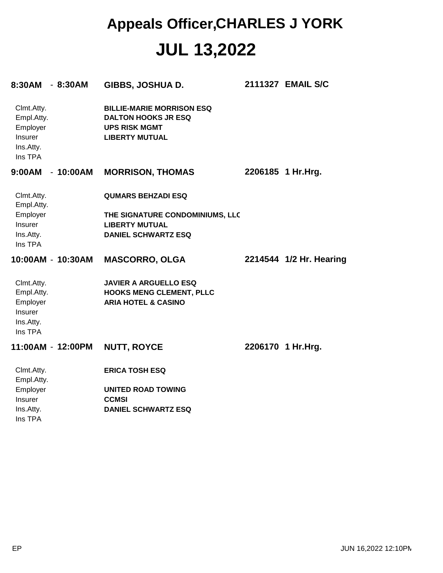| 8:30AM - 8:30AM                                                                | GIBBS, JOSHUA D.                                                                                 |                                                                 | 2111327 EMAIL S/C       |
|--------------------------------------------------------------------------------|--------------------------------------------------------------------------------------------------|-----------------------------------------------------------------|-------------------------|
| Clmt.Atty.<br>Empl.Atty.<br>Employer<br>Insurer<br>Ins.Atty.<br>Ins TPA        | <b>DALTON HOOKS JR ESQ</b><br><b>UPS RISK MGMT</b><br><b>LIBERTY MUTUAL</b>                      | <b>BILLIE-MARIE MORRISON ESQ</b>                                |                         |
| 9:00AM - 10:00AM                                                               |                                                                                                  | <b>MORRISON, THOMAS</b>                                         | 2206185 1 Hr.Hrg.       |
| Clmt.Atty.<br>Empl.Atty.                                                       | <b>QUMARS BEHZADI ESQ</b>                                                                        |                                                                 |                         |
| Employer<br>Insurer<br>Ins.Atty.<br>Ins TPA                                    | <b>LIBERTY MUTUAL</b><br><b>DANIEL SCHWARTZ ESQ</b>                                              | THE SIGNATURE CONDOMINIUMS, LLC                                 |                         |
| 10:00AM - 10:30AM                                                              | <b>MASCORRO, OLGA</b>                                                                            |                                                                 | 2214544 1/2 Hr. Hearing |
| Clmt.Atty.<br>Empl.Atty.<br>Employer<br>Insurer<br>Ins.Atty.<br>Ins TPA        | <b>ARIA HOTEL &amp; CASINO</b>                                                                   | <b>JAVIER A ARGUELLO ESQ</b><br><b>HOOKS MENG CLEMENT, PLLC</b> |                         |
| 11:00AM - 12:00PM                                                              | <b>NUTT, ROYCE</b>                                                                               |                                                                 | 2206170 1 Hr.Hrg.       |
| Clmt.Atty.<br>Empl.Atty.<br>Employer<br><b>Insurer</b><br>Ins.Atty.<br>Ins TPA | <b>ERICA TOSH ESQ</b><br><b>UNITED ROAD TOWING</b><br><b>CCMSI</b><br><b>DANIEL SCHWARTZ ESQ</b> |                                                                 |                         |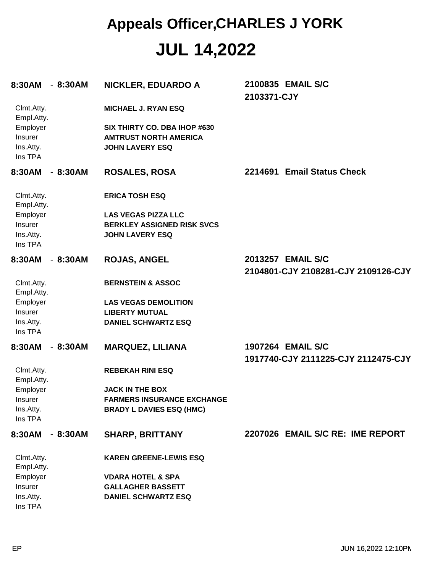| 8:30AM                                      | $-8:30AM$ | <b>NICKLER, EDUARDO A</b>                                                              | 2100835 EMAIL S/C<br>2103371-CJY                         |
|---------------------------------------------|-----------|----------------------------------------------------------------------------------------|----------------------------------------------------------|
| Clmt.Atty.<br>Empl.Atty.                    |           | <b>MICHAEL J. RYAN ESQ</b>                                                             |                                                          |
| Employer<br>Insurer<br>Ins.Atty.<br>Ins TPA |           | SIX THIRTY CO. DBA IHOP #630<br><b>AMTRUST NORTH AMERICA</b><br><b>JOHN LAVERY ESQ</b> |                                                          |
| 8:30AM                                      | $-8:30AM$ | <b>ROSALES, ROSA</b>                                                                   | 2214691 Email Status Check                               |
| Clmt.Atty.<br>Empl.Atty.                    |           | <b>ERICA TOSH ESQ</b>                                                                  |                                                          |
| Employer                                    |           | <b>LAS VEGAS PIZZA LLC</b>                                                             |                                                          |
| Insurer                                     |           | <b>BERKLEY ASSIGNED RISK SVCS</b>                                                      |                                                          |
| Ins.Atty.<br>Ins TPA                        |           | <b>JOHN LAVERY ESQ</b>                                                                 |                                                          |
| 8:30AM                                      | $-8:30AM$ | <b>ROJAS, ANGEL</b>                                                                    | 2013257 EMAIL S/C                                        |
|                                             |           |                                                                                        | 2104801-CJY 2108281-CJY 2109126-CJY                      |
| Clmt.Atty.                                  |           | <b>BERNSTEIN &amp; ASSOC</b>                                                           |                                                          |
| Empl.Atty.                                  |           |                                                                                        |                                                          |
| Employer                                    |           | <b>LAS VEGAS DEMOLITION</b>                                                            |                                                          |
| Insurer                                     |           | <b>LIBERTY MUTUAL</b>                                                                  |                                                          |
| Ins.Atty.                                   |           | <b>DANIEL SCHWARTZ ESQ</b>                                                             |                                                          |
| Ins TPA                                     |           |                                                                                        |                                                          |
| 8:30AM                                      | $-8:30AM$ | <b>MARQUEZ, LILIANA</b>                                                                | 1907264 EMAIL S/C<br>1917740-CJY 2111225-CJY 2112475-CJY |
| Clmt.Atty.<br>Empl.Atty.                    |           | <b>REBEKAH RINI ESQ</b>                                                                |                                                          |
| Employer                                    |           | <b>JACK IN THE BOX</b>                                                                 |                                                          |
| Insurer                                     |           | <b>FARMERS INSURANCE EXCHANGE</b>                                                      |                                                          |
| Ins.Atty.                                   |           | <b>BRADY L DAVIES ESQ (HMC)</b>                                                        |                                                          |
| Ins TPA                                     |           |                                                                                        |                                                          |
| 8:30AM                                      | $-8:30AM$ | <b>SHARP, BRITTANY</b>                                                                 | 2207026 EMAIL S/C RE: IME REPORT                         |
| Clmt.Atty.<br>Empl.Atty.                    |           | <b>KAREN GREENE-LEWIS ESQ</b>                                                          |                                                          |
| Employer                                    |           | <b>VDARA HOTEL &amp; SPA</b>                                                           |                                                          |
| Insurer                                     |           | <b>GALLAGHER BASSETT</b>                                                               |                                                          |
| Ins.Atty.                                   |           | <b>DANIEL SCHWARTZ ESQ</b>                                                             |                                                          |
| Ins TPA                                     |           |                                                                                        |                                                          |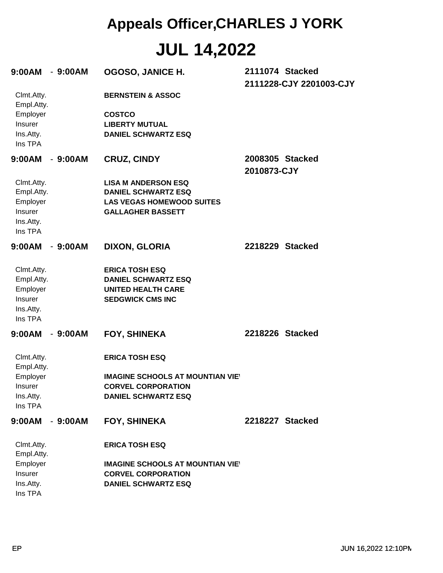| 9:00AM                                                                  | $-9:00AM$ | OGOSO, JANICE H.                                                                                                            |             | 2111074 Stacked<br>2111228-CJY 2201003-CJY |
|-------------------------------------------------------------------------|-----------|-----------------------------------------------------------------------------------------------------------------------------|-------------|--------------------------------------------|
| Clmt.Atty.<br>Empl.Atty.                                                |           | <b>BERNSTEIN &amp; ASSOC</b>                                                                                                |             |                                            |
| Employer<br>Insurer<br>Ins.Atty.<br>Ins TPA                             |           | <b>COSTCO</b><br><b>LIBERTY MUTUAL</b><br><b>DANIEL SCHWARTZ ESQ</b>                                                        |             |                                            |
| 9:00AM                                                                  | $-9:00AM$ | <b>CRUZ, CINDY</b>                                                                                                          | 2010873-CJY | 2008305 Stacked                            |
| Clmt.Atty.<br>Empl.Atty.<br>Employer<br>Insurer<br>Ins.Atty.<br>Ins TPA |           | <b>LISA M ANDERSON ESQ</b><br><b>DANIEL SCHWARTZ ESQ</b><br><b>LAS VEGAS HOMEWOOD SUITES</b><br><b>GALLAGHER BASSETT</b>    |             |                                            |
| 9:00AM                                                                  | $-9:00AM$ | <b>DIXON, GLORIA</b>                                                                                                        |             | 2218229 Stacked                            |
| Clmt.Atty.<br>Empl.Atty.<br>Employer<br>Insurer<br>Ins.Atty.<br>Ins TPA |           | <b>ERICA TOSH ESQ</b><br><b>DANIEL SCHWARTZ ESQ</b><br><b>UNITED HEALTH CARE</b><br><b>SEDGWICK CMS INC</b>                 |             |                                            |
| 9:00AM                                                                  | $-9:00AM$ | <b>FOY, SHINEKA</b>                                                                                                         |             | 2218226 Stacked                            |
| Clmt.Atty.<br>Empl.Atty.<br>Employer<br>Insurer<br>Ins.Atty.<br>Ins TPA |           | <b>ERICA TOSH ESQ</b><br><b>IMAGINE SCHOOLS AT MOUNTIAN VIET</b><br><b>CORVEL CORPORATION</b><br><b>DANIEL SCHWARTZ ESQ</b> |             |                                            |
| 9:00AM                                                                  | $-9:00AM$ | <b>FOY, SHINEKA</b>                                                                                                         |             | 2218227 Stacked                            |
| Clmt.Atty.<br>Empl.Atty.                                                |           | <b>ERICA TOSH ESQ</b>                                                                                                       |             |                                            |
| Employer<br>Insurer<br>Ins.Atty.<br>Ins TPA                             |           | <b>IMAGINE SCHOOLS AT MOUNTIAN VIEY</b><br><b>CORVEL CORPORATION</b><br><b>DANIEL SCHWARTZ ESQ</b>                          |             |                                            |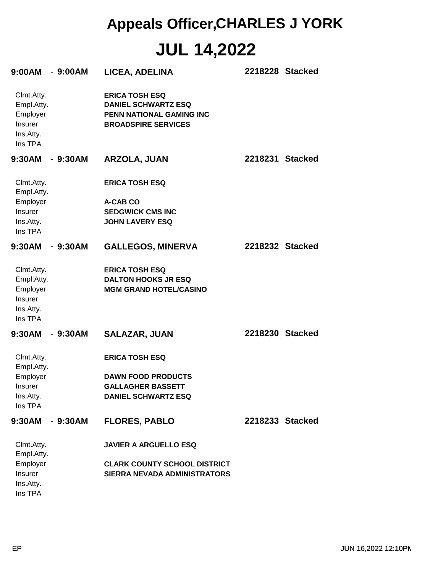| $9:00AM - 9:00AM$                                                       |           | LICEA, ADELINA                                                                                                | 2218228 Stacked |
|-------------------------------------------------------------------------|-----------|---------------------------------------------------------------------------------------------------------------|-----------------|
| Clmt.Atty.<br>Empl.Atty.<br>Employer<br>Insurer<br>Ins.Atty.<br>Ins TPA |           | <b>ERICA TOSH ESQ</b><br><b>DANIEL SCHWARTZ ESQ</b><br>PENN NATIONAL GAMING INC<br><b>BROADSPIRE SERVICES</b> |                 |
| $9:30AM - 9:30AM$                                                       |           | ARZOLA, JUAN                                                                                                  | 2218231 Stacked |
| Clmt.Atty.<br>Empl.Atty.                                                |           | <b>ERICA TOSH ESQ</b>                                                                                         |                 |
| Employer                                                                |           | A-CAB CO                                                                                                      |                 |
| Insurer                                                                 |           | <b>SEDGWICK CMS INC</b>                                                                                       |                 |
| Ins.Atty.                                                               |           | <b>JOHN LAVERY ESQ</b>                                                                                        |                 |
| Ins TPA                                                                 |           |                                                                                                               |                 |
| $9:30AM - 9:30AM$                                                       |           | <b>GALLEGOS, MINERVA</b>                                                                                      | 2218232 Stacked |
| Clmt.Atty.                                                              |           | <b>ERICA TOSH ESQ</b>                                                                                         |                 |
| Empl.Atty.                                                              |           | <b>DALTON HOOKS JR ESQ</b>                                                                                    |                 |
| Employer                                                                |           | <b>MGM GRAND HOTEL/CASINO</b>                                                                                 |                 |
| Insurer                                                                 |           |                                                                                                               |                 |
| Ins.Atty.                                                               |           |                                                                                                               |                 |
| Ins TPA                                                                 |           |                                                                                                               |                 |
|                                                                         |           |                                                                                                               |                 |
| $9:30AM - 9:30AM$                                                       |           | <b>SALAZAR, JUAN</b>                                                                                          | 2218230 Stacked |
| Clmt.Atty.<br>Empl.Atty.                                                |           | <b>ERICA TOSH ESQ</b>                                                                                         |                 |
| Employer                                                                |           | <b>DAWN FOOD PRODUCTS</b>                                                                                     |                 |
| <b>Insurer</b>                                                          |           | <b>GALLAGHER BASSETT</b>                                                                                      |                 |
| Ins.Atty.                                                               |           | <b>DANIEL SCHWARTZ ESQ</b>                                                                                    |                 |
| Ins TPA                                                                 |           |                                                                                                               |                 |
| 9:30AM                                                                  | $-9:30AM$ | <b>FLORES, PABLO</b>                                                                                          | 2218233 Stacked |
| Clmt.Atty.<br>Empl.Atty.                                                |           | <b>JAVIER A ARGUELLO ESQ</b>                                                                                  |                 |
| Employer                                                                |           | <b>CLARK COUNTY SCHOOL DISTRICT</b>                                                                           |                 |
| Insurer                                                                 |           | <b>SIERRA NEVADA ADMINISTRATORS</b>                                                                           |                 |
| Ins.Atty.                                                               |           |                                                                                                               |                 |
| Ins TPA                                                                 |           |                                                                                                               |                 |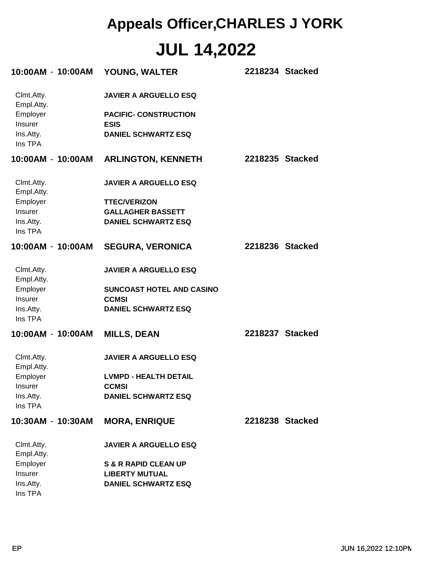| 10:00AM - 10:00AM        | YOUNG, WALTER                               | 2218234 Stacked |
|--------------------------|---------------------------------------------|-----------------|
| Clmt.Atty.<br>Empl.Atty. | <b>JAVIER A ARGUELLO ESQ</b>                |                 |
| Employer<br>Insurer      | <b>PACIFIC- CONSTRUCTION</b><br><b>ESIS</b> |                 |
| Ins.Atty.<br>Ins TPA     | <b>DANIEL SCHWARTZ ESQ</b>                  |                 |
| 10:00AM - 10:00AM        | <b>ARLINGTON, KENNETH</b>                   | 2218235 Stacked |
| Clmt.Atty.<br>Empl.Atty. | <b>JAVIER A ARGUELLO ESQ</b>                |                 |
| Employer                 | <b>TTEC/VERIZON</b>                         |                 |
| Insurer                  | <b>GALLAGHER BASSETT</b>                    |                 |
| Ins.Atty.                | <b>DANIEL SCHWARTZ ESQ</b>                  |                 |
| Ins TPA                  |                                             |                 |
| 10:00AM - 10:00AM        | <b>SEGURA, VERONICA</b>                     | 2218236 Stacked |
| Clmt.Atty.               | <b>JAVIER A ARGUELLO ESQ</b>                |                 |
| Empl.Atty.               |                                             |                 |
| Employer                 | SUNCOAST HOTEL AND CASINO                   |                 |
| Insurer                  | <b>CCMSI</b>                                |                 |
| Ins.Atty.<br>Ins TPA     | <b>DANIEL SCHWARTZ ESQ</b>                  |                 |
| 10:00AM - 10:00AM        | <b>MILLS, DEAN</b>                          | 2218237 Stacked |
| Clmt.Atty.<br>Empl.Atty. | <b>JAVIER A ARGUELLO ESQ</b>                |                 |
| Employer                 | <b>LVMPD - HEALTH DETAIL</b>                |                 |
| Insurer                  | <b>CCMSI</b>                                |                 |
| Ins.Atty.<br>Ins TPA     | <b>DANIEL SCHWARTZ ESQ</b>                  |                 |
|                          |                                             |                 |
| 10:30AM - 10:30AM        | <b>MORA, ENRIQUE</b>                        | 2218238 Stacked |
| Clmt.Atty.<br>Empl.Atty. | <b>JAVIER A ARGUELLO ESQ</b>                |                 |
| Employer                 | <b>S &amp; R RAPID CLEAN UP</b>             |                 |
| Insurer                  | <b>LIBERTY MUTUAL</b>                       |                 |
| Ins.Atty.<br>Ins TPA     | <b>DANIEL SCHWARTZ ESQ</b>                  |                 |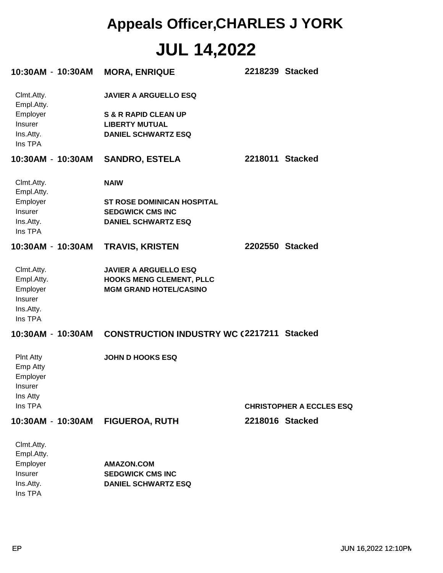|                          | 10:30AM - 10:30AM | <b>MORA, ENRIQUE</b>                              | 2218239 Stacked |                                 |
|--------------------------|-------------------|---------------------------------------------------|-----------------|---------------------------------|
| Clmt.Atty.<br>Empl.Atty. |                   | <b>JAVIER A ARGUELLO ESQ</b>                      |                 |                                 |
| Employer                 |                   | <b>S &amp; R RAPID CLEAN UP</b>                   |                 |                                 |
| Insurer                  |                   | <b>LIBERTY MUTUAL</b>                             |                 |                                 |
| Ins.Atty.<br>Ins TPA     |                   | <b>DANIEL SCHWARTZ ESQ</b>                        |                 |                                 |
| 10:30AM - 10:30AM        |                   | <b>SANDRO, ESTELA</b>                             | 2218011 Stacked |                                 |
| Clmt.Atty.<br>Empl.Atty. |                   | <b>NAIW</b>                                       |                 |                                 |
| Employer                 |                   | <b>ST ROSE DOMINICAN HOSPITAL</b>                 |                 |                                 |
| Insurer                  |                   | <b>SEDGWICK CMS INC</b>                           |                 |                                 |
| Ins.Atty.<br>Ins TPA     |                   | <b>DANIEL SCHWARTZ ESQ</b>                        |                 |                                 |
| 10:30AM - 10:30AM        |                   | <b>TRAVIS, KRISTEN</b>                            | 2202550 Stacked |                                 |
| Clmt.Atty.               |                   | <b>JAVIER A ARGUELLO ESQ</b>                      |                 |                                 |
| Empl.Atty.               |                   | <b>HOOKS MENG CLEMENT, PLLC</b>                   |                 |                                 |
| Employer                 |                   | <b>MGM GRAND HOTEL/CASINO</b>                     |                 |                                 |
| Insurer<br>Ins.Atty.     |                   |                                                   |                 |                                 |
| Ins TPA                  |                   |                                                   |                 |                                 |
|                          | 10:30AM - 10:30AM | <b>CONSTRUCTION INDUSTRY WC (2217211 Stacked)</b> |                 |                                 |
| <b>PInt Atty</b>         |                   | <b>JOHN D HOOKS ESQ</b>                           |                 |                                 |
| Emp Atty                 |                   |                                                   |                 |                                 |
| Employer                 |                   |                                                   |                 |                                 |
| Insurer<br>Ins Atty      |                   |                                                   |                 |                                 |
| Ins TPA                  |                   |                                                   |                 | <b>CHRISTOPHER A ECCLES ESQ</b> |
|                          | 10:30AM - 10:30AM | <b>FIGUEROA, RUTH</b>                             | 2218016 Stacked |                                 |
| Clmt.Atty.               |                   |                                                   |                 |                                 |
| Empl.Atty.               |                   |                                                   |                 |                                 |
|                          |                   |                                                   |                 |                                 |

| ∟шры му.  |                            |
|-----------|----------------------------|
| Employer  | AMAZON.COM                 |
| Insurer   | <b>SEDGWICK CMS INC</b>    |
| Ins.Attv. | <b>DANIEL SCHWARTZ ESQ</b> |
| Ins TPA   |                            |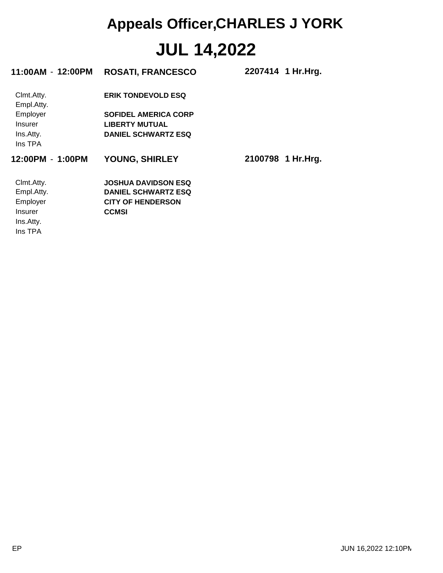| 11:00AM - 12:00PM        | <b>ROSATI, FRANCESCO</b>    | 2207414 1 Hr. Hrg. |
|--------------------------|-----------------------------|--------------------|
| Clmt.Atty.<br>Empl.Atty. | <b>ERIK TONDEVOLD ESQ</b>   |                    |
| Employer                 | <b>SOFIDEL AMERICA CORP</b> |                    |
| <b>Insurer</b>           | <b>LIBERTY MUTUAL</b>       |                    |
| Ins.Atty.                | <b>DANIEL SCHWARTZ ESQ</b>  |                    |
| Ins TPA                  |                             |                    |
| 12:00PM - 1:00PM         | <b>YOUNG, SHIRLEY</b>       | 2100798 1 Hr.Hrg.  |
| Clmt.Atty.               | <b>JOSHUA DAVIDSON ESQ</b>  |                    |
|                          |                             |                    |
| Empl.Atty.               | <b>DANIEL SCHWARTZ ESQ</b>  |                    |
| Employer                 | <b>CITY OF HENDERSON</b>    |                    |
| <b>Insurer</b>           | <b>CCMSI</b>                |                    |
| Ins.Atty.                |                             |                    |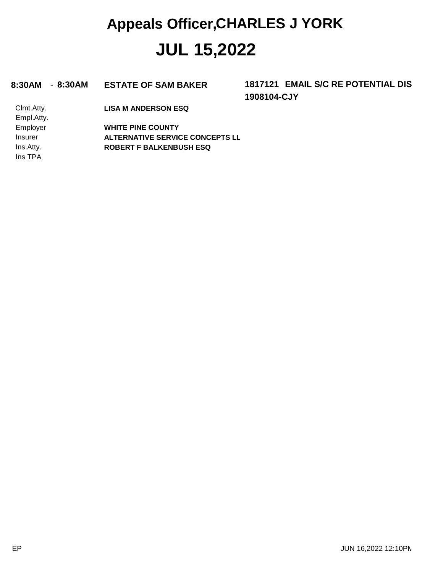#### **8:30AM** - **8:30AM ESTATE OF SAM BAKER 1817121**

**1908104-CJY 1817121 EMAIL S/C RE POTENTIAL DIS** 

Clmt.Atty. **LISA M ANDERSON ESQ**

Ins TPA Ins.Atty. Insurer Employer Empl.Atty. **ROBERT F BALKENBUSH ESQ ALTERNATIVE SERVICE CONCEPTS LL WHITE PINE COUNTY**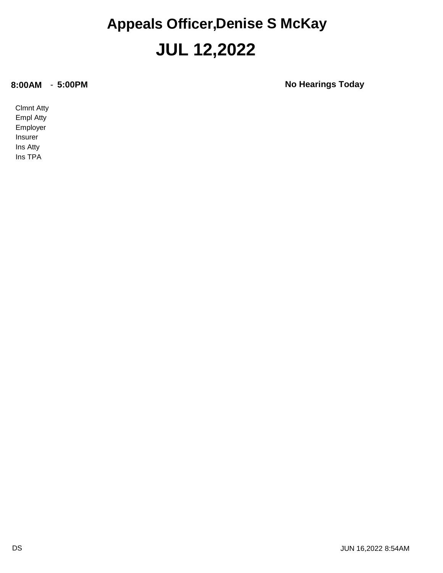#### **JUL 12,2022 Appeals Officer,Denise S McKay**

**8:00AM** - **5:00PM No Hearings Today**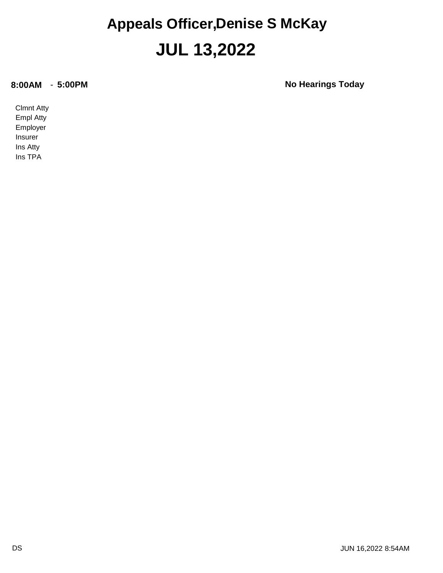#### **JUL 13,2022 Appeals Officer,Denise S McKay**

**8:00AM** - **5:00PM No Hearings Today**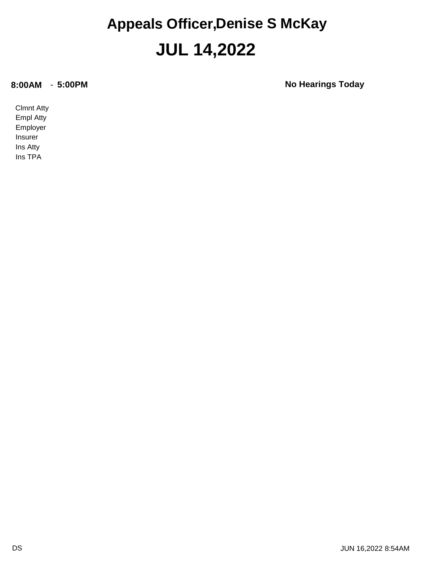#### **JUL 14,2022 Appeals Officer,Denise S McKay**

**8:00AM** - **5:00PM No Hearings Today**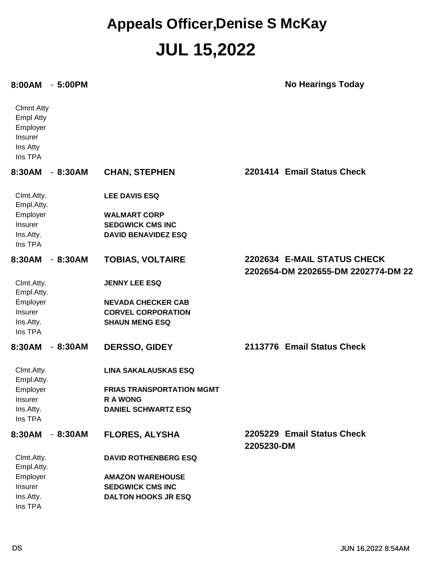#### **JUL 15,2022 Appeals Officer,Denise S McKay**

#### **8:00AM** - **5:00PM No Hearings Today**

| <b>Clmnt Atty</b><br><b>Empl Atty</b><br>Employer<br>Insurer<br>Ins Atty<br>Ins TPA |           |                                                    |                                                                    |
|-------------------------------------------------------------------------------------|-----------|----------------------------------------------------|--------------------------------------------------------------------|
| 8:30AM                                                                              | $-8:30AM$ | <b>CHAN, STEPHEN</b>                               | 2201414 Email Status Check                                         |
| Clmt.Atty.<br>Empl.Atty.                                                            |           | <b>LEE DAVIS ESQ</b>                               |                                                                    |
| Employer<br>Insurer                                                                 |           | <b>WALMART CORP</b><br><b>SEDGWICK CMS INC</b>     |                                                                    |
| Ins.Atty.<br>Ins TPA                                                                |           | <b>DAVID BENAVIDEZ ESQ</b>                         |                                                                    |
| 8:30AM                                                                              | $-8:30AM$ | <b>TOBIAS, VOLTAIRE</b>                            | 2202634 E-MAIL STATUS CHECK<br>2202654-DM 2202655-DM 2202774-DM 22 |
| Clmt.Atty.<br>Empl.Atty.                                                            |           | <b>JENNY LEE ESQ</b>                               |                                                                    |
| Employer                                                                            |           | <b>NEVADA CHECKER CAB</b>                          |                                                                    |
| <b>Insurer</b><br>Ins.Atty.<br>Ins TPA                                              |           | <b>CORVEL CORPORATION</b><br><b>SHAUN MENG ESQ</b> |                                                                    |
| 8:30AM                                                                              | $-8:30AM$ | DERSSO, GIDEY                                      | 2113776 Email Status Check                                         |
| Clmt.Atty.<br>Empl.Atty.                                                            |           | <b>LINA SAKALAUSKAS ESQ</b>                        |                                                                    |
| Employer                                                                            |           | <b>FRIAS TRANSPORTATION MGMT</b>                   |                                                                    |
| <b>Insurer</b><br>Ins.Atty.<br>Ins TPA                                              |           | <b>RA WONG</b><br><b>DANIEL SCHWARTZ ESQ</b>       |                                                                    |
| 8:30AM                                                                              | $-8:30AM$ | <b>FLORES, ALYSHA</b>                              | 2205229 Email Status Check<br>2205230-DM                           |
| Clmt.Atty.<br>Empl.Atty.                                                            |           | <b>DAVID ROTHENBERG ESQ</b>                        |                                                                    |
| Employer<br>Insurer                                                                 |           | <b>AMAZON WAREHOUSE</b><br><b>SEDGWICK CMS INC</b> |                                                                    |
| Ins.Atty.                                                                           |           | <b>DALTON HOOKS JR ESQ</b>                         |                                                                    |
| Ins TPA                                                                             |           |                                                    |                                                                    |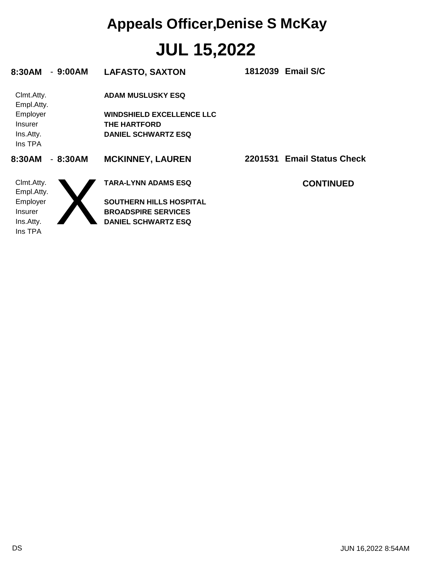# **JUL 15,2022 Appeals Officer,Denise S McKay**

| 8:30AM                   | $-9:00AM$ | <b>LAFASTO, SAXTON</b>           | 1812039 Email S/C          |
|--------------------------|-----------|----------------------------------|----------------------------|
| Clmt.Atty.<br>Empl.Atty. |           | <b>ADAM MUSLUSKY ESQ</b>         |                            |
| Employer                 |           | <b>WINDSHIELD EXCELLENCE LLC</b> |                            |
| <b>Insurer</b>           |           | <b>THE HARTFORD</b>              |                            |
| Ins.Atty.                |           | <b>DANIEL SCHWARTZ ESQ</b>       |                            |
| Ins TPA                  |           |                                  |                            |
| 8:30AM                   | $-8:30AM$ | <b>MCKINNEY, LAUREN</b>          | 2201531 Email Status Check |
| Clmt.Atty.<br>Empl.Atty. |           | <b>TARA-LYNN ADAMS ESQ</b>       | <b>CONTINUED</b>           |
| Employer                 |           | <b>SOUTHERN HILLS HOSPITAL</b>   |                            |
| <b>Insurer</b>           |           | <b>BROADSPIRE SERVICES</b>       |                            |
| Ins.Atty.                |           | <b>DANIEL SCHWARTZ ESQ</b>       |                            |
| Ins TPA                  |           |                                  |                            |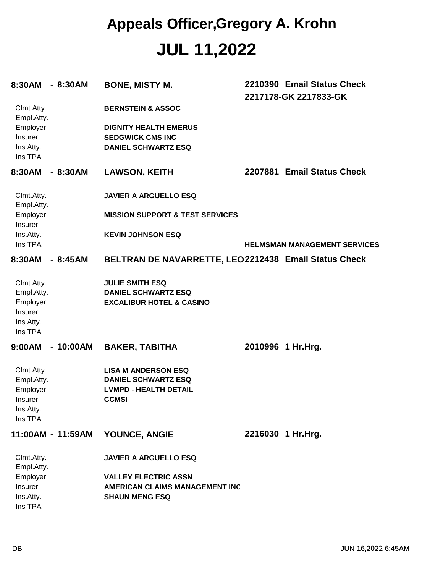| 8:30AM                   | $-8:30AM$         | <b>BONE, MISTY M.</b>                                                |         | 2210390 Email Status Check<br>2217178-GK 2217833-GK |
|--------------------------|-------------------|----------------------------------------------------------------------|---------|-----------------------------------------------------|
| Clmt.Atty.<br>Empl.Atty. |                   | <b>BERNSTEIN &amp; ASSOC</b>                                         |         |                                                     |
| Employer                 |                   | <b>DIGNITY HEALTH EMERUS</b>                                         |         |                                                     |
| Insurer                  |                   | <b>SEDGWICK CMS INC</b>                                              |         |                                                     |
| Ins.Atty.<br>Ins TPA     |                   | <b>DANIEL SCHWARTZ ESQ</b>                                           |         |                                                     |
| 8:30AM                   | $-8:30AM$         | <b>LAWSON, KEITH</b>                                                 | 2207881 | <b>Email Status Check</b>                           |
| Clmt.Atty.<br>Empl.Atty. |                   | <b>JAVIER A ARGUELLO ESQ</b>                                         |         |                                                     |
| Employer<br>Insurer      |                   | <b>MISSION SUPPORT &amp; TEST SERVICES</b>                           |         |                                                     |
| Ins.Atty.                |                   | <b>KEVIN JOHNSON ESQ</b>                                             |         |                                                     |
| Ins TPA                  |                   |                                                                      |         | <b>HELMSMAN MANAGEMENT SERVICES</b>                 |
| 8:30AM                   | $-8:45AM$         | BELTRAN DE NAVARRETTE, LEO2212438 Email Status Check                 |         |                                                     |
| Clmt.Atty.               |                   | <b>JULIE SMITH ESQ</b>                                               |         |                                                     |
| Empl.Atty.               |                   | <b>DANIEL SCHWARTZ ESQ</b>                                           |         |                                                     |
| Employer                 |                   | <b>EXCALIBUR HOTEL &amp; CASINO</b>                                  |         |                                                     |
| Insurer                  |                   |                                                                      |         |                                                     |
| Ins.Atty.                |                   |                                                                      |         |                                                     |
| Ins TPA                  |                   |                                                                      |         |                                                     |
| 9:00AM                   | $-10:00AM$        | <b>BAKER, TABITHA</b>                                                |         | 2010996 1 Hr.Hrg.                                   |
| Clmt.Atty.               |                   | <b>LISA M ANDERSON ESQ</b>                                           |         |                                                     |
| Empl.Atty.               |                   | <b>DANIEL SCHWARTZ ESQ</b>                                           |         |                                                     |
| Employer                 |                   | <b>LVMPD - HEALTH DETAIL</b>                                         |         |                                                     |
| Insurer                  |                   | <b>CCMSI</b>                                                         |         |                                                     |
| Ins.Atty.<br>Ins TPA     |                   |                                                                      |         |                                                     |
|                          |                   |                                                                      |         |                                                     |
|                          | 11:00AM - 11:59AM | YOUNCE, ANGIE                                                        |         | 2216030 1 Hr.Hrg.                                   |
| Clmt.Atty.               |                   | <b>JAVIER A ARGUELLO ESQ</b>                                         |         |                                                     |
| Empl.Atty.<br>Employer   |                   |                                                                      |         |                                                     |
| Insurer                  |                   | <b>VALLEY ELECTRIC ASSN</b><br><b>AMERICAN CLAIMS MANAGEMENT INC</b> |         |                                                     |
| Ins.Atty.                |                   | <b>SHAUN MENG ESQ</b>                                                |         |                                                     |
| Ins TPA                  |                   |                                                                      |         |                                                     |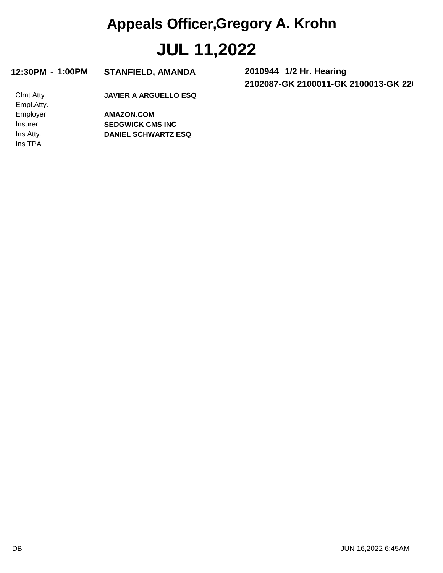| 12:30PM | 1:00PM |  |
|---------|--------|--|
|---------|--------|--|

 $STANFIED, AMANDA$ 

**2102087-GK 2100011-GK 2100013-GK 2206897-GK 1/2 Hr. Hearing**

Clmt.Atty. **JAVIER A ARGUELLO ESQ**

Ins TPA Ins.Atty. Insurer Employer Empl.Atty.

**DANIEL SCHWARTZ ESQ SEDGWICK CMS INC AMAZON.COM**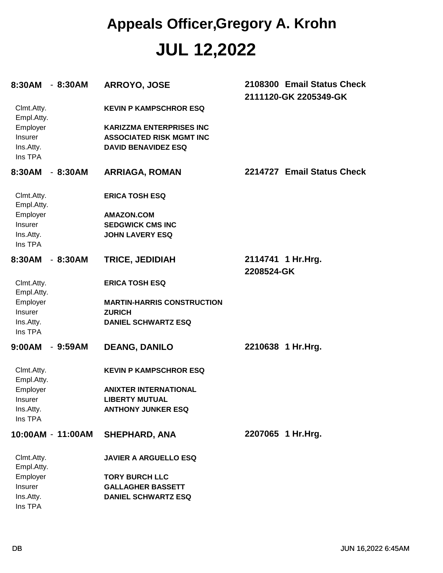| 8:30AM                   | $-8:30AM$         | ARROYO, JOSE                      | 2108300 Email Status Check<br>2111120-GK 2205349-GK |
|--------------------------|-------------------|-----------------------------------|-----------------------------------------------------|
| Clmt.Atty.<br>Empl.Atty. |                   | <b>KEVIN P KAMPSCHROR ESQ</b>     |                                                     |
| Employer                 |                   | <b>KARIZZMA ENTERPRISES INC</b>   |                                                     |
| Insurer                  |                   | <b>ASSOCIATED RISK MGMT INC</b>   |                                                     |
| Ins.Atty.                |                   | <b>DAVID BENAVIDEZ ESQ</b>        |                                                     |
| Ins TPA                  |                   |                                   |                                                     |
| 8:30AM                   | $-8:30AM$         | <b>ARRIAGA, ROMAN</b>             | 2214727 Email Status Check                          |
| Clmt.Atty.<br>Empl.Atty. |                   | <b>ERICA TOSH ESQ</b>             |                                                     |
| Employer                 |                   | <b>AMAZON.COM</b>                 |                                                     |
| Insurer                  |                   | <b>SEDGWICK CMS INC</b>           |                                                     |
| Ins.Atty.<br>Ins TPA     |                   | <b>JOHN LAVERY ESQ</b>            |                                                     |
| 8:30AM                   | $-8:30AM$         | <b>TRICE, JEDIDIAH</b>            | 2114741 1 Hr. Hrg.                                  |
|                          |                   |                                   | 2208524-GK                                          |
| Clmt.Atty.<br>Empl.Atty. |                   | <b>ERICA TOSH ESQ</b>             |                                                     |
| Employer                 |                   | <b>MARTIN-HARRIS CONSTRUCTION</b> |                                                     |
| Insurer                  |                   | <b>ZURICH</b>                     |                                                     |
| Ins.Atty.<br>Ins TPA     |                   | <b>DANIEL SCHWARTZ ESQ</b>        |                                                     |
| 9:00AM                   | $-9:59AM$         | <b>DEANG, DANILO</b>              | 2210638 1 Hr.Hrg.                                   |
| Clmt.Atty.<br>Empl.Atty. |                   | <b>KEVIN P KAMPSCHROR ESQ</b>     |                                                     |
| Employer                 |                   | <b>ANIXTER INTERNATIONAL</b>      |                                                     |
| <b>Insurer</b>           |                   | <b>LIBERTY MUTUAL</b>             |                                                     |
| Ins.Atty.                |                   | <b>ANTHONY JUNKER ESQ</b>         |                                                     |
| Ins TPA                  |                   |                                   |                                                     |
|                          | 10:00AM - 11:00AM | <b>SHEPHARD, ANA</b>              | 2207065 1 Hr.Hrg.                                   |
| Clmt.Atty.<br>Empl.Atty. |                   | <b>JAVIER A ARGUELLO ESQ</b>      |                                                     |
| Employer                 |                   | <b>TORY BURCH LLC</b>             |                                                     |
| Insurer                  |                   | <b>GALLAGHER BASSETT</b>          |                                                     |
| Ins.Atty.                |                   | <b>DANIEL SCHWARTZ ESQ</b>        |                                                     |
| Ins TPA                  |                   |                                   |                                                     |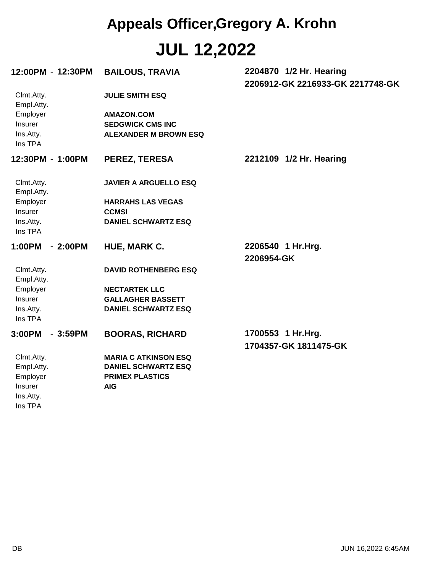| 12:00PM - 12:30PM                           | <b>BAILOUS, TRAVIA</b>                                                       | 2204870 1/2 Hr. Hearing          |
|---------------------------------------------|------------------------------------------------------------------------------|----------------------------------|
| Clmt.Atty.<br>Empl.Atty.                    | <b>JULIE SMITH ESQ</b>                                                       | 2206912-GK 2216933-GK 2217748-GK |
| Employer<br>Insurer<br>Ins.Atty.<br>Ins TPA | <b>AMAZON.COM</b><br><b>SEDGWICK CMS INC</b><br><b>ALEXANDER M BROWN ESQ</b> |                                  |
| 12:30PM - 1:00PM                            | <b>PEREZ, TERESA</b>                                                         | 2212109 1/2 Hr. Hearing          |
| Clmt.Atty.<br>Empl.Atty.                    | <b>JAVIER A ARGUELLO ESQ</b>                                                 |                                  |
| Employer                                    | <b>HARRAHS LAS VEGAS</b>                                                     |                                  |
| Insurer                                     | <b>CCMSI</b>                                                                 |                                  |
| Ins.Atty.<br>Ins TPA                        | <b>DANIEL SCHWARTZ ESQ</b>                                                   |                                  |
| $-2:00PM$<br>1:00PM                         | <b>HUE, MARK C.</b>                                                          | 2206540 1 Hr.Hrg.<br>2206954-GK  |
| Clmt.Atty.<br>Empl.Atty.                    | <b>DAVID ROTHENBERG ESQ</b>                                                  |                                  |
| Employer                                    | <b>NECTARTEK LLC</b>                                                         |                                  |
| Insurer                                     | <b>GALLAGHER BASSETT</b>                                                     |                                  |
| Ins.Atty.<br>Ins TPA                        | <b>DANIEL SCHWARTZ ESQ</b>                                                   |                                  |
| 3:00PM<br>$-3:59PM$                         | <b>BOORAS, RICHARD</b>                                                       | 1700553 1 Hr.Hrg.                |
|                                             |                                                                              | 1704357-GK 1811475-GK            |
| Clmt.Atty.                                  | <b>MARIA C ATKINSON ESQ</b>                                                  |                                  |
| Empl.Atty.                                  | <b>DANIEL SCHWARTZ ESQ</b>                                                   |                                  |
| Employer                                    | <b>PRIMEX PLASTICS</b>                                                       |                                  |
| Insurer                                     | <b>AIG</b>                                                                   |                                  |
| Ins.Atty.                                   |                                                                              |                                  |
| Ins TPA                                     |                                                                              |                                  |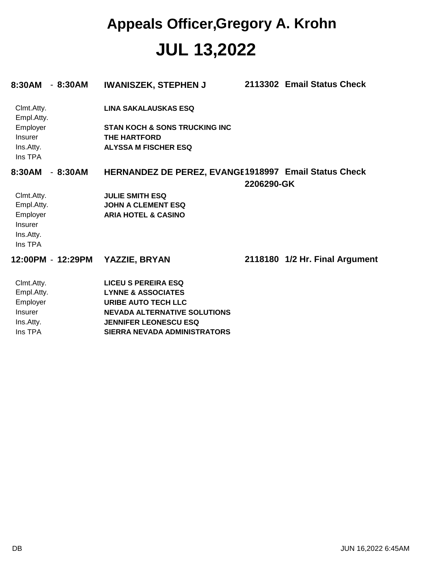| 8:30AM<br>- 8:30AM       | <b>IWANISZEK, STEPHEN J</b>                          |            | 2113302 Email Status Check     |
|--------------------------|------------------------------------------------------|------------|--------------------------------|
| Clmt.Atty.<br>Empl.Atty. | <b>LINA SAKALAUSKAS ESQ</b>                          |            |                                |
| Employer                 | <b>STAN KOCH &amp; SONS TRUCKING INC</b>             |            |                                |
| Insurer                  | <b>THE HARTFORD</b>                                  |            |                                |
| Ins.Atty.<br>Ins TPA     | <b>ALYSSA M FISCHER ESQ</b>                          |            |                                |
| 8:30AM<br>- 8:30AM       | HERNANDEZ DE PEREZ, EVANGE1918997 Email Status Check |            |                                |
|                          |                                                      | 2206290-GK |                                |
| Clmt.Atty.               | <b>JULIE SMITH ESQ</b>                               |            |                                |
| Empl.Atty.               | <b>JOHN A CLEMENT ESQ</b>                            |            |                                |
| Employer                 | <b>ARIA HOTEL &amp; CASINO</b>                       |            |                                |
| Insurer                  |                                                      |            |                                |
| Ins.Atty.                |                                                      |            |                                |
| Ins TPA                  |                                                      |            |                                |
| 12:00PM - 12:29PM        | <b>YAZZIE, BRYAN</b>                                 |            | 2118180 1/2 Hr. Final Argument |
| Clmt.Atty.               | <b>LICEU S PEREIRA ESQ</b>                           |            |                                |
| Empl.Atty.               | <b>LYNNE &amp; ASSOCIATES</b>                        |            |                                |
| Employer                 | <b>URIBE AUTO TECH LLC</b>                           |            |                                |
| Insurer                  | <b>NEVADA ALTERNATIVE SOLUTIONS</b>                  |            |                                |
| Ins.Atty.                | <b>JENNIFER LEONESCU ESQ</b>                         |            |                                |
| Ins TPA                  | <b>SIERRA NEVADA ADMINISTRATORS</b>                  |            |                                |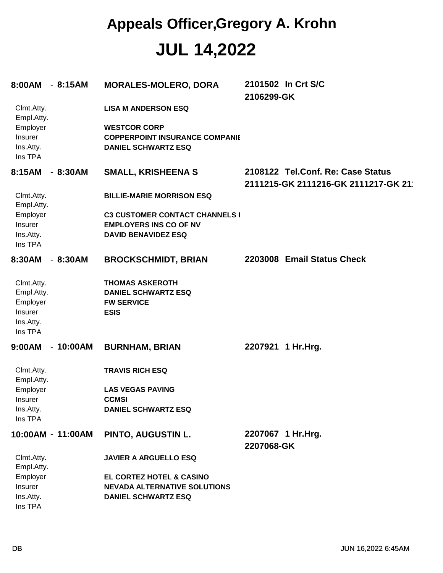| 8:00AM - 8:15AM                                                                |            | <b>MORALES-MOLERO, DORA</b>                                                                                                              | 2101502 In Crt S/C<br>2106299-GK                                         |
|--------------------------------------------------------------------------------|------------|------------------------------------------------------------------------------------------------------------------------------------------|--------------------------------------------------------------------------|
| Clmt.Atty.<br>Empl.Atty.<br>Employer<br>Insurer<br>Ins.Atty.<br>Ins TPA        |            | <b>LISA M ANDERSON ESQ</b><br><b>WESTCOR CORP</b><br><b>COPPERPOINT INSURANCE COMPANIE</b><br><b>DANIEL SCHWARTZ ESQ</b>                 |                                                                          |
| 8:15AM                                                                         | $-8:30AM$  | <b>SMALL, KRISHEENA S</b>                                                                                                                | 2108122 Tel.Conf. Re: Case Status<br>2111215-GK 2111216-GK 2111217-GK 21 |
| Clmt.Atty.<br>Empl.Atty.<br>Employer<br>Insurer<br>Ins.Atty.<br>Ins TPA        |            | <b>BILLIE-MARIE MORRISON ESQ</b><br><b>C3 CUSTOMER CONTACT CHANNELS I</b><br><b>EMPLOYERS INS CO OF NV</b><br><b>DAVID BENAVIDEZ ESQ</b> |                                                                          |
| 8:30AM                                                                         | $-8:30AM$  | <b>BROCKSCHMIDT, BRIAN</b>                                                                                                               | 2203008 Email Status Check                                               |
| Clmt.Atty.<br>Empl.Atty.<br>Employer<br><b>Insurer</b><br>Ins.Atty.<br>Ins TPA |            | <b>THOMAS ASKEROTH</b><br><b>DANIEL SCHWARTZ ESQ</b><br><b>FW SERVICE</b><br><b>ESIS</b>                                                 |                                                                          |
| 9:00AM                                                                         | $-10:00AM$ | <b>BURNHAM, BRIAN</b>                                                                                                                    | 2207921 1 Hr.Hrg.                                                        |
| Clmt.Atty.<br>Empl.Atty.<br>Employer<br>Insurer<br>Ins.Atty.<br>Ins TPA        |            | <b>TRAVIS RICH ESQ</b><br><b>LAS VEGAS PAVING</b><br><b>CCMSI</b><br><b>DANIEL SCHWARTZ ESQ</b>                                          |                                                                          |
| 10:00AM - 11:00AM                                                              |            | <b>PINTO, AUGUSTIN L.</b>                                                                                                                | 2207067 1 Hr.Hrg.<br>2207068-GK                                          |
| Clmt.Atty.<br>Empl.Atty.<br>Employer<br>Insurer<br>Ins.Atty.<br>Ins TPA        |            | <b>JAVIER A ARGUELLO ESQ</b><br>EL CORTEZ HOTEL & CASINO<br><b>NEVADA ALTERNATIVE SOLUTIONS</b><br><b>DANIEL SCHWARTZ ESQ</b>            |                                                                          |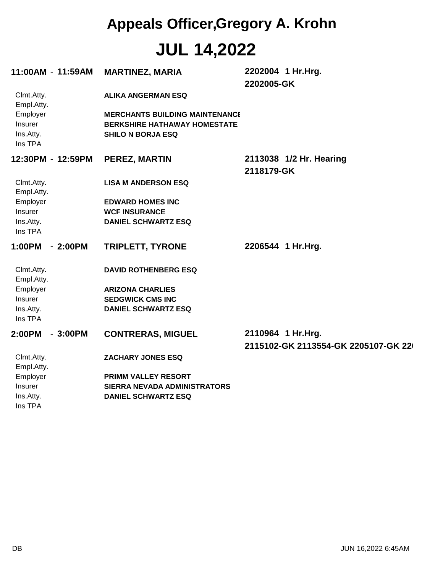| 11:00AM - 11:59AM                           |           | <b>MARTINEZ, MARIA</b>                                                                                   | 2202004 1 Hr.Hrg.<br>2202005-GK                          |
|---------------------------------------------|-----------|----------------------------------------------------------------------------------------------------------|----------------------------------------------------------|
| Clmt.Atty.<br>Empl.Atty.                    |           | <b>ALIKA ANGERMAN ESQ</b>                                                                                |                                                          |
| Employer<br>Insurer<br>Ins.Atty.<br>Ins TPA |           | <b>MERCHANTS BUILDING MAINTENANCI</b><br><b>BERKSHIRE HATHAWAY HOMESTATE</b><br><b>SHILO N BORJA ESQ</b> |                                                          |
| 12:30PM - 12:59PM                           |           | <b>PEREZ, MARTIN</b>                                                                                     | 2113038 1/2 Hr. Hearing<br>2118179-GK                    |
| Clmt.Atty.<br>Empl.Atty.                    |           | <b>LISA M ANDERSON ESQ</b>                                                                               |                                                          |
| Employer                                    |           | <b>EDWARD HOMES INC</b>                                                                                  |                                                          |
| Insurer                                     |           | <b>WCF INSURANCE</b>                                                                                     |                                                          |
| Ins.Atty.<br>Ins TPA                        |           | <b>DANIEL SCHWARTZ ESQ</b>                                                                               |                                                          |
| 1:00PM                                      | $-2:00PM$ | <b>TRIPLETT, TYRONE</b>                                                                                  | 2206544 1 Hr.Hrg.                                        |
| Clmt.Atty.<br>Empl.Atty.                    |           | <b>DAVID ROTHENBERG ESQ</b>                                                                              |                                                          |
| Employer                                    |           | <b>ARIZONA CHARLIES</b>                                                                                  |                                                          |
| Insurer                                     |           | <b>SEDGWICK CMS INC</b>                                                                                  |                                                          |
| Ins.Atty.<br>Ins TPA                        |           | <b>DANIEL SCHWARTZ ESQ</b>                                                                               |                                                          |
| 2:00PM                                      | $-3:00PM$ | <b>CONTRERAS, MIGUEL</b>                                                                                 | 2110964 1 Hr.Hrg.<br>2115102-GK 2113554-GK 2205107-GK 22 |
| Clmt.Atty.<br>Empl.Atty.                    |           | <b>ZACHARY JONES ESQ</b>                                                                                 |                                                          |
| Employer                                    |           | PRIMM VALLEY RESORT                                                                                      |                                                          |
| Insurer                                     |           | SIERRA NEVADA ADMINISTRATORS                                                                             |                                                          |
| Ins.Atty.<br>Ins TPA                        |           | <b>DANIEL SCHWARTZ ESQ</b>                                                                               |                                                          |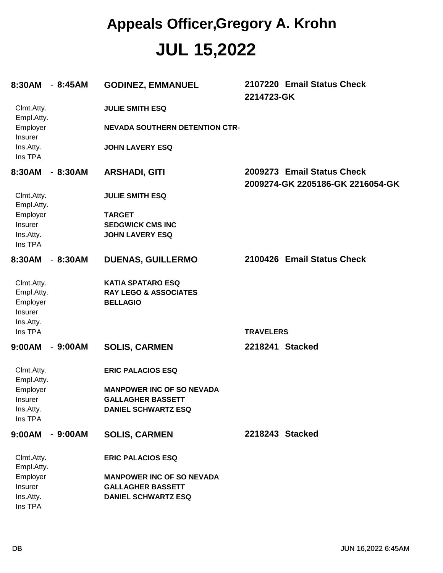| 8:30AM                   | $-8:45AM$ | <b>GODINEZ, EMMANUEL</b>              | 2107220 Email Status Check<br>2214723-GK                       |
|--------------------------|-----------|---------------------------------------|----------------------------------------------------------------|
| Clmt.Atty.<br>Empl.Atty. |           | <b>JULIE SMITH ESQ</b>                |                                                                |
| Employer<br>Insurer      |           | <b>NEVADA SOUTHERN DETENTION CTR-</b> |                                                                |
| Ins.Atty.<br>Ins TPA     |           | <b>JOHN LAVERY ESQ</b>                |                                                                |
| 8:30AM                   | $-8:30AM$ | <b>ARSHADI, GITI</b>                  | 2009273 Email Status Check<br>2009274-GK 2205186-GK 2216054-GK |
| Clmt.Atty.<br>Empl.Atty. |           | <b>JULIE SMITH ESQ</b>                |                                                                |
| Employer                 |           | <b>TARGET</b>                         |                                                                |
| Insurer                  |           | <b>SEDGWICK CMS INC</b>               |                                                                |
| Ins.Atty.<br>Ins TPA     |           | <b>JOHN LAVERY ESQ</b>                |                                                                |
| 8:30AM                   | $-8:30AM$ | <b>DUENAS, GUILLERMO</b>              | 2100426 Email Status Check                                     |
| Clmt.Atty.               |           | <b>KATIA SPATARO ESQ</b>              |                                                                |
| Empl.Atty.               |           | <b>RAY LEGO &amp; ASSOCIATES</b>      |                                                                |
| Employer                 |           | <b>BELLAGIO</b>                       |                                                                |
| Insurer<br>Ins.Atty.     |           |                                       |                                                                |
| Ins TPA                  |           |                                       | <b>TRAVELERS</b>                                               |
| 9:00AM                   | $-9:00AM$ | <b>SOLIS, CARMEN</b>                  | 2218241 Stacked                                                |
| Clmt.Atty.<br>Empl.Atty. |           | <b>ERIC PALACIOS ESQ</b>              |                                                                |
| Employer                 |           | <b>MANPOWER INC OF SO NEVADA</b>      |                                                                |
| <b>Insurer</b>           |           | <b>GALLAGHER BASSETT</b>              |                                                                |
| Ins.Atty.<br>Ins TPA     |           | <b>DANIEL SCHWARTZ ESQ</b>            |                                                                |
| 9:00AM                   | $-9:00AM$ | <b>SOLIS, CARMEN</b>                  | 2218243 Stacked                                                |
| Clmt.Atty.<br>Empl.Atty. |           | <b>ERIC PALACIOS ESQ</b>              |                                                                |
| Employer                 |           | <b>MANPOWER INC OF SO NEVADA</b>      |                                                                |
| Insurer                  |           | <b>GALLAGHER BASSETT</b>              |                                                                |
| Ins.Atty.<br>Ins TPA     |           | <b>DANIEL SCHWARTZ ESQ</b>            |                                                                |
|                          |           |                                       |                                                                |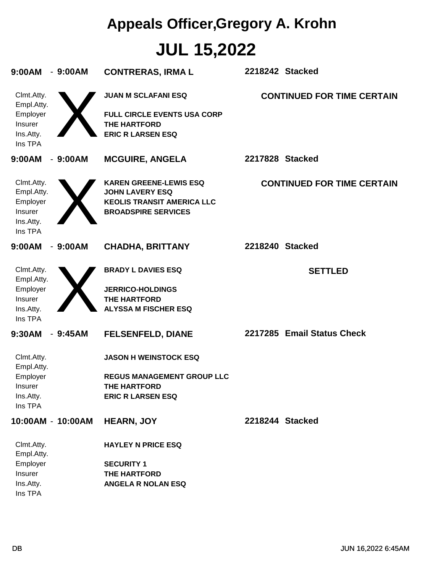| 9:00AM<br>$-9:00AM$                                                            | <b>CONTRERAS, IRMA L</b>                                                                                                   | 2218242 Stacked                   |
|--------------------------------------------------------------------------------|----------------------------------------------------------------------------------------------------------------------------|-----------------------------------|
| Clmt.Atty.<br>Empl.Atty.<br>Employer<br>Insurer<br>Ins.Atty.<br>Ins TPA        | <b>JUAN M SCLAFANI ESQ</b><br><b>FULL CIRCLE EVENTS USA CORP</b><br><b>THE HARTFORD</b><br><b>ERIC R LARSEN ESQ</b>        | <b>CONTINUED FOR TIME CERTAIN</b> |
| 9:00AM<br>$-9:00AM$                                                            | <b>MCGUIRE, ANGELA</b>                                                                                                     | 2217828 Stacked                   |
| Clmt.Atty.<br>Empl.Atty.<br>Employer<br>Insurer<br>Ins.Atty.<br>Ins TPA        | <b>KAREN GREENE-LEWIS ESQ</b><br><b>JOHN LAVERY ESQ</b><br><b>KEOLIS TRANSIT AMERICA LLC</b><br><b>BROADSPIRE SERVICES</b> | <b>CONTINUED FOR TIME CERTAIN</b> |
| 9:00AM<br>$-9:00AM$                                                            | <b>CHADHA, BRITTANY</b>                                                                                                    | 2218240 Stacked                   |
| Clmt.Atty.<br>Empl.Atty.<br>Employer<br>Insurer<br>Ins.Atty.<br>Ins TPA        | <b>BRADY L DAVIES ESQ</b><br><b>JERRICO-HOLDINGS</b><br><b>THE HARTFORD</b><br><b>ALYSSA M FISCHER ESQ</b>                 | <b>SETTLED</b>                    |
| 9:30AM<br>$-9:45AM$                                                            | <b>FELSENFELD, DIANE</b>                                                                                                   | 2217285 Email Status Check        |
| Clmt.Atty.<br>Empl.Atty.<br>Employer<br><b>Insurer</b><br>Ins.Atty.<br>Ins TPA | <b>JASON H WEINSTOCK ESQ</b><br><b>REGUS MANAGEMENT GROUP LLC</b><br><b>THE HARTFORD</b><br><b>ERIC R LARSEN ESQ</b>       |                                   |
| 10:00AM - 10:00AM                                                              | <b>HEARN, JOY</b>                                                                                                          | 2218244 Stacked                   |
| Clmt.Atty.<br>Empl.Atty.<br>Employer<br>Insurer<br>Ins.Atty.<br>Ins TPA        | <b>HAYLEY N PRICE ESQ</b><br><b>SECURITY 1</b><br><b>THE HARTFORD</b><br><b>ANGELA R NOLAN ESQ</b>                         |                                   |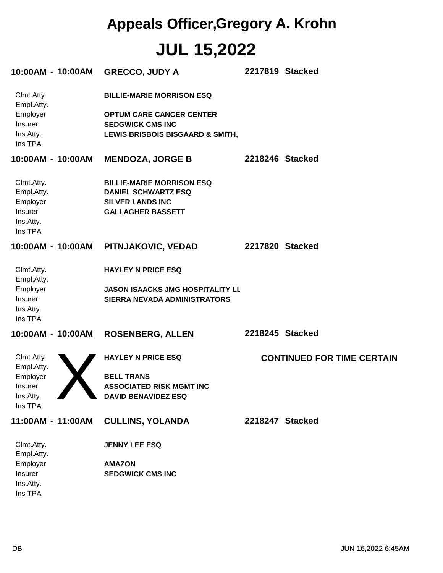| 10:00AM - 10:00AM                                                       | <b>GRECCO, JUDY A</b>                                                                                                              | 2217819 Stacked |                                   |
|-------------------------------------------------------------------------|------------------------------------------------------------------------------------------------------------------------------------|-----------------|-----------------------------------|
| Clmt.Atty.<br>Empl.Atty.<br>Employer<br>Insurer<br>Ins.Atty.<br>Ins TPA | <b>BILLIE-MARIE MORRISON ESQ</b><br><b>OPTUM CARE CANCER CENTER</b><br><b>SEDGWICK CMS INC</b><br>LEWIS BRISBOIS BISGAARD & SMITH, |                 |                                   |
| 10:00AM - 10:00AM                                                       | <b>MENDOZA, JORGE B</b>                                                                                                            | 2218246 Stacked |                                   |
| Clmt.Atty.<br>Empl.Atty.<br>Employer<br>Insurer<br>Ins.Atty.<br>Ins TPA | <b>BILLIE-MARIE MORRISON ESQ</b><br><b>DANIEL SCHWARTZ ESQ</b><br><b>SILVER LANDS INC</b><br><b>GALLAGHER BASSETT</b>              |                 |                                   |
| 10:00AM - 10:00AM                                                       | PITNJAKOVIC, VEDAD                                                                                                                 | 2217820 Stacked |                                   |
| Clmt.Atty.<br>Empl.Atty.<br>Employer<br>Insurer<br>Ins.Atty.<br>Ins TPA | <b>HAYLEY N PRICE ESQ</b><br><b>JASON ISAACKS JMG HOSPITALITY LL</b><br><b>SIERRA NEVADA ADMINISTRATORS</b>                        |                 |                                   |
| 10:00AM - 10:00AM                                                       | <b>ROSENBERG, ALLEN</b>                                                                                                            | 2218245 Stacked |                                   |
| Clmt.Atty.<br>Empl.Atty.<br>Employer<br>Insurer<br>Ins.Atty.<br>Ins TPA | <b>HAYLEY N PRICE ESQ</b><br><b>BELL TRANS</b><br><b>ASSOCIATED RISK MGMT INC</b><br><b>DAVID BENAVIDEZ ESQ</b>                    |                 | <b>CONTINUED FOR TIME CERTAIN</b> |
| 11:00AM - 11:00AM                                                       | <b>CULLINS, YOLANDA</b>                                                                                                            | 2218247 Stacked |                                   |
| Clmt.Atty.<br>Empl.Atty.<br>Employer<br>Insurer<br>Ins.Atty.<br>Ins TPA | <b>JENNY LEE ESQ</b><br><b>AMAZON</b><br><b>SEDGWICK CMS INC</b>                                                                   |                 |                                   |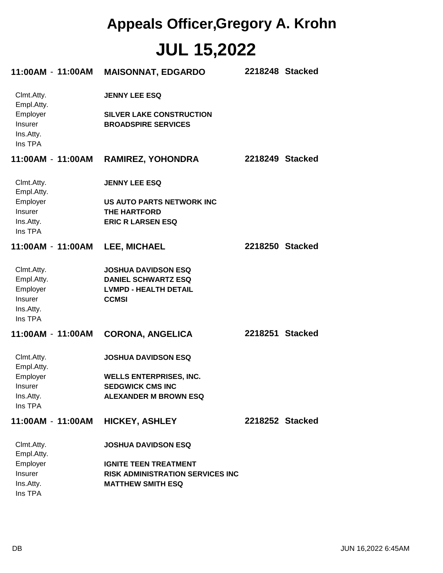| 11:00AM - 11:00AM                           | <b>MAISONNAT, EDGARDO</b>                                     | 2218248 Stacked |  |
|---------------------------------------------|---------------------------------------------------------------|-----------------|--|
| Clmt.Atty.<br>Empl.Atty.                    | <b>JENNY LEE ESQ</b>                                          |                 |  |
| Employer<br>Insurer<br>Ins.Atty.<br>Ins TPA | <b>SILVER LAKE CONSTRUCTION</b><br><b>BROADSPIRE SERVICES</b> |                 |  |
| 11:00AM-11:00AM                             | <b>RAMIREZ, YOHONDRA</b>                                      | 2218249 Stacked |  |
| Clmt.Atty.<br>Empl.Atty.                    | <b>JENNY LEE ESQ</b>                                          |                 |  |
| Employer                                    | US AUTO PARTS NETWORK INC                                     |                 |  |
| Insurer                                     | THE HARTFORD                                                  |                 |  |
| Ins.Atty.<br>Ins TPA                        | <b>ERIC R LARSEN ESQ</b>                                      |                 |  |
| 11:00AM - 11:00AM                           | <b>LEE, MICHAEL</b>                                           | 2218250 Stacked |  |
| Clmt.Atty.                                  | <b>JOSHUA DAVIDSON ESQ</b>                                    |                 |  |
| Empl.Atty.                                  | <b>DANIEL SCHWARTZ ESQ</b>                                    |                 |  |
| Employer                                    | <b>LVMPD - HEALTH DETAIL</b>                                  |                 |  |
| Insurer                                     | <b>CCMSI</b>                                                  |                 |  |
| Ins.Atty.<br>Ins TPA                        |                                                               |                 |  |
| 11:00AM - 11:00AM                           | <b>CORONA, ANGELICA</b>                                       | 2218251 Stacked |  |
| Clmt.Atty.<br>Empl.Atty.                    | <b>JOSHUA DAVIDSON ESQ</b>                                    |                 |  |
| Employer                                    | <b>WELLS ENTERPRISES, INC.</b>                                |                 |  |
| <b>Insurer</b>                              | <b>SEDGWICK CMS INC</b>                                       |                 |  |
| Ins.Atty.<br>Ins TPA                        | <b>ALEXANDER M BROWN ESQ</b>                                  |                 |  |
| 11:00AM - 11:00AM                           | <b>HICKEY, ASHLEY</b>                                         | 2218252 Stacked |  |
| Clmt.Atty.<br>Empl.Atty.                    | <b>JOSHUA DAVIDSON ESQ</b>                                    |                 |  |
| Employer                                    | <b>IGNITE TEEN TREATMENT</b>                                  |                 |  |
| Insurer                                     | <b>RISK ADMINISTRATION SERVICES INC</b>                       |                 |  |
| Ins.Atty.                                   | <b>MATTHEW SMITH ESQ</b>                                      |                 |  |
| Ins TPA                                     |                                                               |                 |  |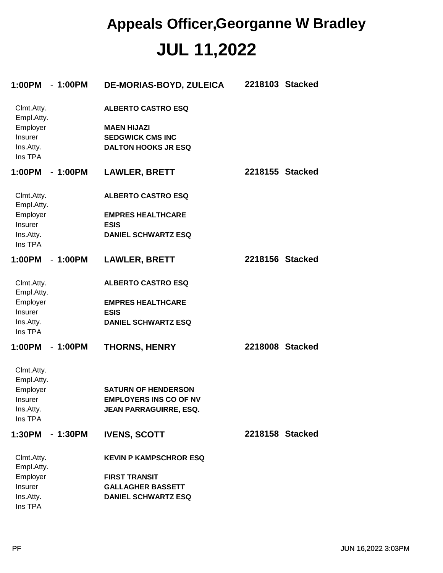| 1:00PM<br>$-1:00PM$      | <b>DE-MORIAS-BOYD, ZULEICA</b> | 2218103 Stacked |
|--------------------------|--------------------------------|-----------------|
| Clmt.Atty.<br>Empl.Atty. | <b>ALBERTO CASTRO ESQ</b>      |                 |
| Employer                 | <b>MAEN HIJAZI</b>             |                 |
| Insurer                  | <b>SEDGWICK CMS INC</b>        |                 |
| Ins.Atty.<br>Ins TPA     | <b>DALTON HOOKS JR ESQ</b>     |                 |
| 1:00PM<br>- 1:00PM       | <b>LAWLER, BRETT</b>           | 2218155 Stacked |
| Clmt.Atty.<br>Empl.Atty. | <b>ALBERTO CASTRO ESQ</b>      |                 |
| Employer                 | <b>EMPRES HEALTHCARE</b>       |                 |
| Insurer                  | <b>ESIS</b>                    |                 |
| Ins.Atty.<br>Ins TPA     | <b>DANIEL SCHWARTZ ESQ</b>     |                 |
| 1:00PM<br>$-1:00PM$      | <b>LAWLER, BRETT</b>           | 2218156 Stacked |
| Clmt.Atty.<br>Empl.Atty. | <b>ALBERTO CASTRO ESQ</b>      |                 |
| Employer                 | <b>EMPRES HEALTHCARE</b>       |                 |
| Insurer                  | <b>ESIS</b>                    |                 |
| Ins.Atty.<br>Ins TPA     | <b>DANIEL SCHWARTZ ESQ</b>     |                 |
| 1:00PM<br>$-1:00PM$      | <b>THORNS, HENRY</b>           | 2218008 Stacked |
| Clmt.Atty.<br>Empl.Atty. |                                |                 |
| Employer                 | <b>SATURN OF HENDERSON</b>     |                 |
| Insurer                  | <b>EMPLOYERS INS CO OF NV</b>  |                 |
| Ins.Atty.<br>Ins TPA     | JEAN PARRAGUIRRE, ESQ.         |                 |
| 1:30PM - 1:30PM          | <b>IVENS, SCOTT</b>            | 2218158 Stacked |
| Clmt.Atty.<br>Empl.Atty. | <b>KEVIN P KAMPSCHROR ESQ</b>  |                 |
| Employer                 | <b>FIRST TRANSIT</b>           |                 |
| Insurer                  | <b>GALLAGHER BASSETT</b>       |                 |
| Ins.Atty.<br>Ins TPA     | <b>DANIEL SCHWARTZ ESQ</b>     |                 |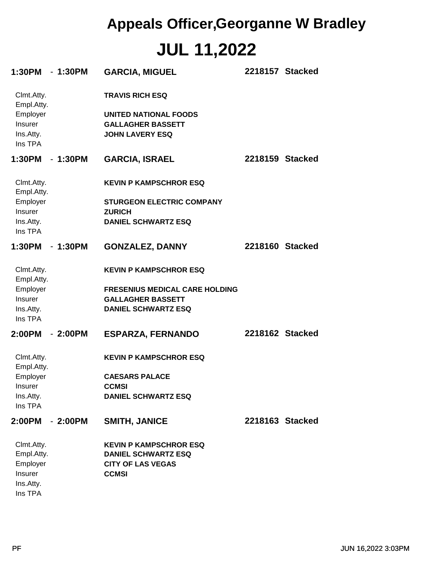| 1:30PM - 1:30PM          |           | <b>GARCIA, MIGUEL</b>                 |                 | 2218157 Stacked |
|--------------------------|-----------|---------------------------------------|-----------------|-----------------|
| Clmt.Atty.<br>Empl.Atty. |           | <b>TRAVIS RICH ESQ</b>                |                 |                 |
| Employer                 |           | <b>UNITED NATIONAL FOODS</b>          |                 |                 |
| Insurer                  |           | <b>GALLAGHER BASSETT</b>              |                 |                 |
| Ins.Atty.                |           | <b>JOHN LAVERY ESQ</b>                |                 |                 |
| Ins TPA                  |           |                                       |                 |                 |
| 1:30PM - 1:30PM          |           | <b>GARCIA, ISRAEL</b>                 |                 | 2218159 Stacked |
| Clmt.Atty.<br>Empl.Atty. |           | <b>KEVIN P KAMPSCHROR ESQ</b>         |                 |                 |
| Employer                 |           | <b>STURGEON ELECTRIC COMPANY</b>      |                 |                 |
| Insurer                  |           | <b>ZURICH</b>                         |                 |                 |
| Ins.Atty.<br>Ins TPA     |           | <b>DANIEL SCHWARTZ ESQ</b>            |                 |                 |
| 1:30PM - 1:30PM          |           | <b>GONZALEZ, DANNY</b>                | 2218160 Stacked |                 |
| Clmt.Atty.<br>Empl.Atty. |           | <b>KEVIN P KAMPSCHROR ESQ</b>         |                 |                 |
| Employer                 |           | <b>FRESENIUS MEDICAL CARE HOLDING</b> |                 |                 |
| Insurer                  |           | <b>GALLAGHER BASSETT</b>              |                 |                 |
| Ins.Atty.<br>Ins TPA     |           | <b>DANIEL SCHWARTZ ESQ</b>            |                 |                 |
| 2:00PM                   | $-2:00PM$ | <b>ESPARZA, FERNANDO</b>              | 2218162 Stacked |                 |
| Clmt.Atty.<br>Empl.Atty. |           | <b>KEVIN P KAMPSCHROR ESQ</b>         |                 |                 |
| Employer                 |           | <b>CAESARS PALACE</b>                 |                 |                 |
| Insurer                  |           | <b>CCMSI</b>                          |                 |                 |
| Ins.Atty.                |           | <b>DANIEL SCHWARTZ ESQ</b>            |                 |                 |
| Ins TPA                  |           |                                       |                 |                 |
| 2:00PM                   | $-2:00PM$ | <b>SMITH, JANICE</b>                  | 2218163 Stacked |                 |
| Clmt.Atty.               |           | <b>KEVIN P KAMPSCHROR ESQ</b>         |                 |                 |
| Empl.Atty.               |           | <b>DANIEL SCHWARTZ ESQ</b>            |                 |                 |
| Employer                 |           | <b>CITY OF LAS VEGAS</b>              |                 |                 |
| Insurer                  |           | <b>CCMSI</b>                          |                 |                 |
| Ins.Atty.<br>Ins TPA     |           |                                       |                 |                 |
|                          |           |                                       |                 |                 |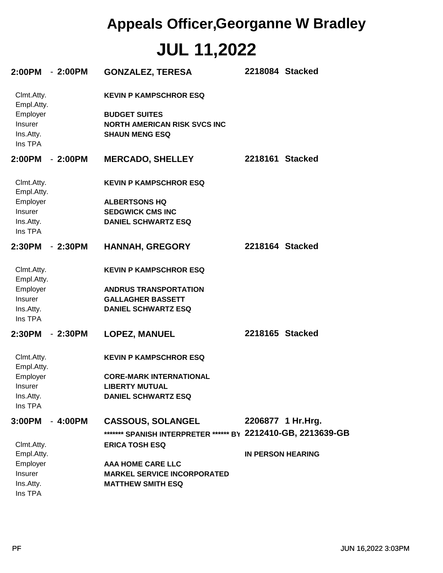| 2:00PM - 2:00PM                                                         |           | <b>GONZALEZ, TERESA</b>                                                                                               | 2218084 Stacked          |
|-------------------------------------------------------------------------|-----------|-----------------------------------------------------------------------------------------------------------------------|--------------------------|
| Clmt.Atty.<br>Empl.Atty.<br>Employer<br>Insurer<br>Ins.Atty.<br>Ins TPA |           | <b>KEVIN P KAMPSCHROR ESQ</b><br><b>BUDGET SUITES</b><br><b>NORTH AMERICAN RISK SVCS INC</b><br><b>SHAUN MENG ESQ</b> |                          |
| 2:00PM                                                                  | - 2:00PM  | <b>MERCADO, SHELLEY</b>                                                                                               | 2218161 Stacked          |
| Clmt.Atty.<br>Empl.Atty.                                                |           | <b>KEVIN P KAMPSCHROR ESQ</b>                                                                                         |                          |
| Employer                                                                |           | <b>ALBERTSONS HQ</b>                                                                                                  |                          |
| <b>Insurer</b>                                                          |           | <b>SEDGWICK CMS INC</b>                                                                                               |                          |
| Ins.Atty.<br>Ins TPA                                                    |           | <b>DANIEL SCHWARTZ ESQ</b>                                                                                            |                          |
| 2:30PM                                                                  | $-2:30PM$ | <b>HANNAH, GREGORY</b>                                                                                                | 2218164 Stacked          |
| Clmt.Atty.<br>Empl.Atty.                                                |           | <b>KEVIN P KAMPSCHROR ESQ</b>                                                                                         |                          |
| Employer                                                                |           | <b>ANDRUS TRANSPORTATION</b>                                                                                          |                          |
| Insurer                                                                 |           | <b>GALLAGHER BASSETT</b>                                                                                              |                          |
| Ins.Atty.<br>Ins TPA                                                    |           | <b>DANIEL SCHWARTZ ESQ</b>                                                                                            |                          |
| 2:30PM                                                                  | $-2:30PM$ | <b>LOPEZ, MANUEL</b>                                                                                                  | 2218165 Stacked          |
| Clmt.Atty.<br>Empl.Atty.                                                |           | <b>KEVIN P KAMPSCHROR ESQ</b>                                                                                         |                          |
| Employer                                                                |           | <b>CORE-MARK INTERNATIONAL</b>                                                                                        |                          |
| <b>Insurer</b>                                                          |           | <b>LIBERTY MUTUAL</b>                                                                                                 |                          |
| Ins.Atty.<br>Ins TPA                                                    |           | <b>DANIEL SCHWARTZ ESQ</b>                                                                                            |                          |
| 3:00PM                                                                  | $-4:00PM$ | <b>CASSOUS, SOLANGEL</b>                                                                                              | 2206877 1 Hr. Hrg.       |
|                                                                         |           | ******* SPANISH INTERPRETER ****** BY 2212410-GB, 2213639-GB                                                          |                          |
| Clmt.Atty.                                                              |           | <b>ERICA TOSH ESQ</b>                                                                                                 |                          |
| Empl.Atty.                                                              |           |                                                                                                                       | <b>IN PERSON HEARING</b> |
| Employer                                                                |           | AAA HOME CARE LLC                                                                                                     |                          |
| Insurer                                                                 |           | <b>MARKEL SERVICE INCORPORATED</b>                                                                                    |                          |
| Ins.Atty.                                                               |           | <b>MATTHEW SMITH ESQ</b>                                                                                              |                          |
| Ins TPA                                                                 |           |                                                                                                                       |                          |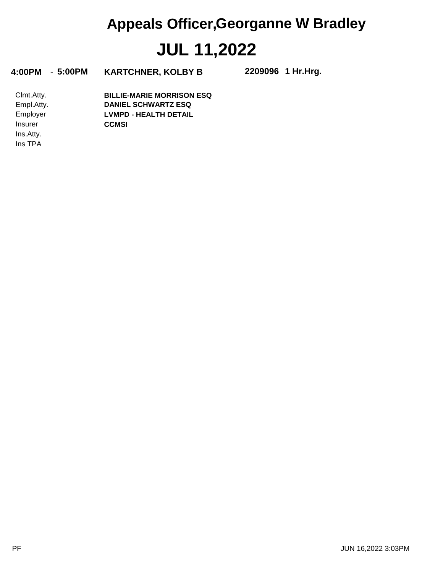**4:00PM** - **5:00PM KARTCHNER, KOLBY B 2209096**

**1 Hr.Hrg.**

Ins TPA Ins.Atty. Insurer Employer Empl.Atty. Clmt.Atty. **CCMSI LVMPD - HEALTH DETAIL DANIEL SCHWARTZ ESQ BILLIE-MARIE MORRISON ESQ**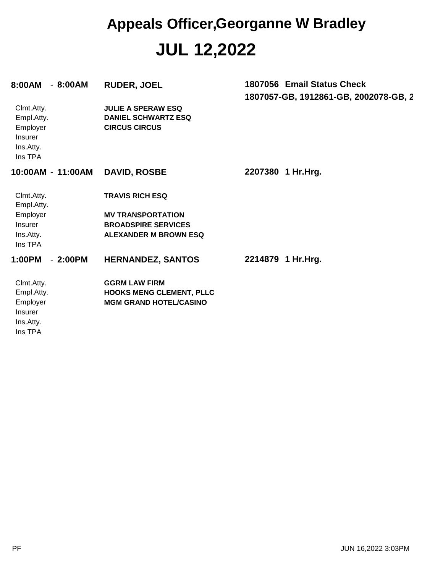| 8:00AM - 8:00AM                                                                |                   | <b>RUDER, JOEL</b>                                                                                               | 1807056 Email Status Check<br>1807057-GB, 1912861-GB, 2002078-GB, 2 |
|--------------------------------------------------------------------------------|-------------------|------------------------------------------------------------------------------------------------------------------|---------------------------------------------------------------------|
| Clmt.Atty.<br>Empl.Atty.<br>Employer<br>Insurer<br>Ins.Atty.<br>Ins TPA        |                   | <b>JULIE A SPERAW ESQ</b><br><b>DANIEL SCHWARTZ ESQ</b><br><b>CIRCUS CIRCUS</b>                                  |                                                                     |
|                                                                                | 10:00AM - 11:00AM | <b>DAVID, ROSBE</b>                                                                                              | 2207380 1 Hr.Hrg.                                                   |
| Clmt.Atty.<br>Empl.Atty.<br>Employer<br>Insurer<br>Ins.Atty.<br>Ins TPA        |                   | <b>TRAVIS RICH ESQ</b><br><b>MV TRANSPORTATION</b><br><b>BROADSPIRE SERVICES</b><br><b>ALEXANDER M BROWN ESQ</b> |                                                                     |
| 1:00PM                                                                         | $-2:00PM$         | <b>HERNANDEZ, SANTOS</b>                                                                                         | 2214879 1 Hr.Hrg.                                                   |
| Clmt.Atty.<br>Empl.Atty.<br>Employer<br><b>Insurer</b><br>Ins.Atty.<br>Ins TPA |                   | <b>GGRM LAW FIRM</b><br><b>HOOKS MENG CLEMENT, PLLC</b><br><b>MGM GRAND HOTEL/CASINO</b>                         |                                                                     |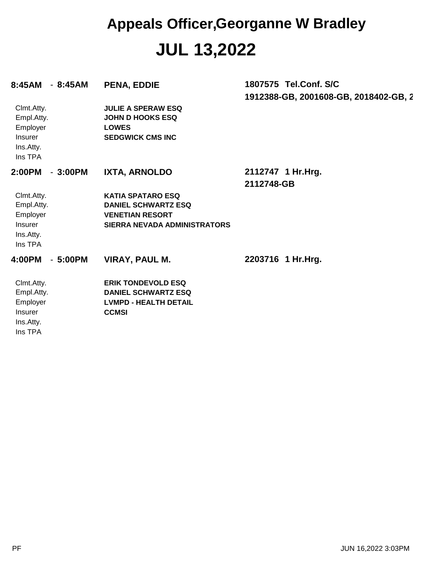| - 8:45AM<br>8:45AM                                                      | PENA, EDDIE                                                                                                      | 1807575 Tel.Conf. S/C                 |
|-------------------------------------------------------------------------|------------------------------------------------------------------------------------------------------------------|---------------------------------------|
|                                                                         |                                                                                                                  | 1912388-GB, 2001608-GB, 2018402-GB, 2 |
| Clmt.Atty.<br>Empl.Atty.<br>Employer<br>Insurer<br>Ins.Atty.<br>Ins TPA | <b>JULIE A SPERAW ESQ</b><br><b>JOHN D HOOKS ESQ</b><br><b>LOWES</b><br><b>SEDGWICK CMS INC</b>                  |                                       |
| 2:00PM<br>$-3:00PM$                                                     | IXTA, ARNOLDO                                                                                                    | 2112747 1 Hr.Hrg.<br>2112748-GB       |
| Clmt.Atty.<br>Empl.Atty.<br>Employer<br>Insurer<br>Ins.Atty.<br>Ins TPA | <b>KATIA SPATARO ESQ</b><br><b>DANIEL SCHWARTZ ESQ</b><br><b>VENETIAN RESORT</b><br>SIERRA NEVADA ADMINISTRATORS |                                       |
| 4:00PM<br>$-5:00PM$                                                     | <b>VIRAY, PAUL M.</b>                                                                                            | 2203716 1 Hr.Hrg.                     |
| Clmt.Atty.<br>Empl.Atty.<br>Employer<br>Insurer<br>Ins.Atty.<br>Ins TPA | <b>ERIK TONDEVOLD ESQ</b><br><b>DANIEL SCHWARTZ ESQ</b><br><b>LVMPD - HEALTH DETAIL</b><br><b>CCMSI</b>          |                                       |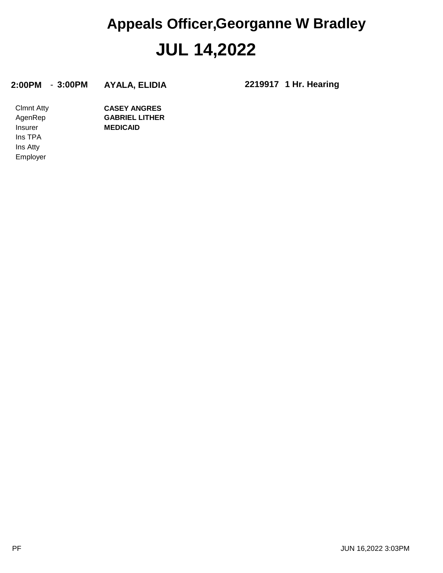#### **2:00PM** - **3:00PM AYALA, ELIDIA 2219917**

**1 Hr. Hearing**

Employer Ins Atty Ins TPA Insurer AgenRep Clmnt Atty **MEDICAID GABRIEL LITHER CASEY ANGRES**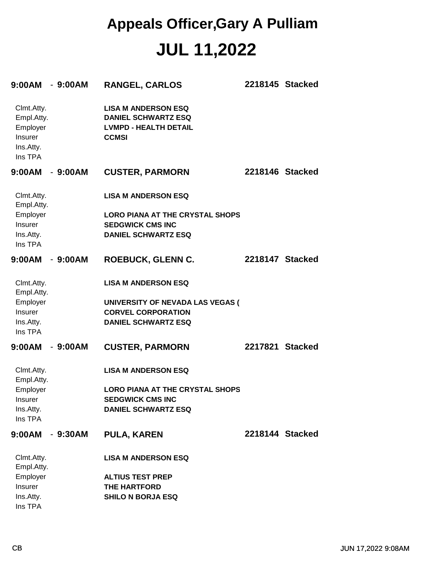#### **JUL 11,2022 Appeals Officer,Gary A Pulliam**

| $9:00AM - 9:00AM$                                                       |           | <b>RANGEL, CARLOS</b>                                                                                    | 2218145 Stacked |  |
|-------------------------------------------------------------------------|-----------|----------------------------------------------------------------------------------------------------------|-----------------|--|
| Clmt.Atty.<br>Empl.Atty.<br>Employer<br>Insurer<br>Ins.Atty.<br>Ins TPA |           | <b>LISA M ANDERSON ESQ</b><br><b>DANIEL SCHWARTZ ESQ</b><br><b>LVMPD - HEALTH DETAIL</b><br><b>CCMSI</b> |                 |  |
| $9:00AM - 9:00AM$                                                       |           | <b>CUSTER, PARMORN</b>                                                                                   | 2218146 Stacked |  |
| Clmt.Atty.<br>Empl.Atty.                                                |           | <b>LISA M ANDERSON ESQ</b>                                                                               |                 |  |
| Employer                                                                |           | <b>LORO PIANA AT THE CRYSTAL SHOPS</b>                                                                   |                 |  |
| Insurer                                                                 |           | <b>SEDGWICK CMS INC</b>                                                                                  |                 |  |
| Ins.Atty.<br>Ins TPA                                                    |           | <b>DANIEL SCHWARTZ ESQ</b>                                                                               |                 |  |
| 9:00AM - 9:00AM                                                         |           | <b>ROEBUCK, GLENN C.</b>                                                                                 | 2218147 Stacked |  |
| Clmt.Atty.<br>Empl.Atty.                                                |           | <b>LISA M ANDERSON ESQ</b>                                                                               |                 |  |
| Employer                                                                |           | UNIVERSITY OF NEVADA LAS VEGAS (                                                                         |                 |  |
| Insurer                                                                 |           | <b>CORVEL CORPORATION</b>                                                                                |                 |  |
| Ins.Atty.<br>Ins TPA                                                    |           | <b>DANIEL SCHWARTZ ESQ</b>                                                                               |                 |  |
| $9:00AM - 9:00AM$                                                       |           | <b>CUSTER, PARMORN</b>                                                                                   | 2217821 Stacked |  |
| Clmt.Atty.<br>Empl.Atty.                                                |           | <b>LISA M ANDERSON ESQ</b>                                                                               |                 |  |
| Employer                                                                |           | <b>LORO PIANA AT THE CRYSTAL SHOPS</b>                                                                   |                 |  |
| Insurer                                                                 |           | <b>SEDGWICK CMS INC</b>                                                                                  |                 |  |
| Ins.Atty.<br>Ins TPA                                                    |           | <b>DANIEL SCHWARTZ ESQ</b>                                                                               |                 |  |
| 9:00AM                                                                  | $-9:30AM$ | <b>PULA, KAREN</b>                                                                                       | 2218144 Stacked |  |
| Clmt.Atty.<br>Empl.Atty.                                                |           | <b>LISA M ANDERSON ESQ</b>                                                                               |                 |  |
| Employer                                                                |           | <b>ALTIUS TEST PREP</b>                                                                                  |                 |  |
| Insurer                                                                 |           | <b>THE HARTFORD</b>                                                                                      |                 |  |
| Ins.Atty.<br>Ins TPA                                                    |           | <b>SHILO N BORJA ESQ</b>                                                                                 |                 |  |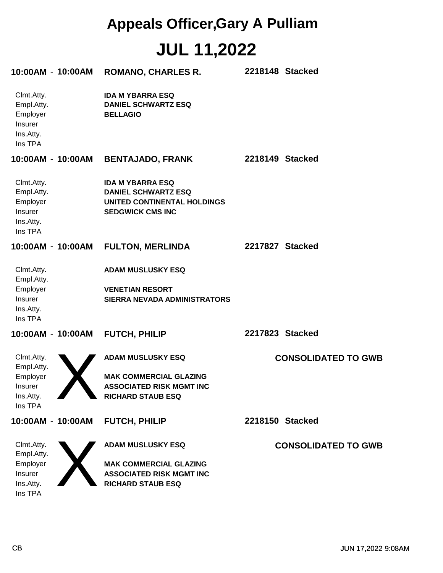### **JUL 11,2022 Appeals Officer,Gary A Pulliam**

| 10:00AM - 10:00AM                                                       | <b>ROMANO, CHARLES R.</b>                                                                                                | 2218148 Stacked            |
|-------------------------------------------------------------------------|--------------------------------------------------------------------------------------------------------------------------|----------------------------|
| Clmt.Atty.<br>Empl.Atty.<br>Employer<br>Insurer<br>Ins.Atty.<br>Ins TPA | <b>IDA M YBARRA ESQ</b><br><b>DANIEL SCHWARTZ ESQ</b><br><b>BELLAGIO</b>                                                 |                            |
| 10:00AM - 10:00AM                                                       | <b>BENTAJADO, FRANK</b>                                                                                                  | 2218149 Stacked            |
| Clmt.Atty.<br>Empl.Atty.<br>Employer<br>Insurer<br>Ins.Atty.<br>Ins TPA | <b>IDA M YBARRA ESQ</b><br><b>DANIEL SCHWARTZ ESQ</b><br>UNITED CONTINENTAL HOLDINGS<br><b>SEDGWICK CMS INC</b>          |                            |
| 10:00AM - 10:00AM                                                       | <b>FULTON, MERLINDA</b>                                                                                                  | 2217827 Stacked            |
| Clmt.Atty.<br>Empl.Atty.<br>Employer<br>Insurer<br>Ins.Atty.<br>Ins TPA | <b>ADAM MUSLUSKY ESQ</b><br><b>VENETIAN RESORT</b><br><b>SIERRA NEVADA ADMINISTRATORS</b>                                |                            |
| 10:00AM - 10:00AM                                                       | <b>FUTCH, PHILIP</b>                                                                                                     | 2217823 Stacked            |
| Clmt.Atty.<br>Empl.Atty.<br>Employer<br>Insurer<br>Ins.Atty.<br>Ins TPA | <b>ADAM MUSLUSKY ESQ</b><br><b>MAK COMMERCIAL GLAZING</b><br>ASSOCIATED RISK MGMT INC<br><b>RICHARD STAUB ESQ</b>        | <b>CONSOLIDATED TO GWB</b> |
| 10:00AM - 10:00AM                                                       | FUTCH, PHILIP                                                                                                            | 2218150 Stacked            |
| Clmt.Atty.<br>Empl.Atty.<br>Employer<br>Insurer<br>Ins.Atty.<br>Ins TPA | <b>ADAM MUSLUSKY ESQ</b><br><b>MAK COMMERCIAL GLAZING</b><br><b>ASSOCIATED RISK MGMT INC</b><br><b>RICHARD STAUB ESQ</b> | <b>CONSOLIDATED TO GWB</b> |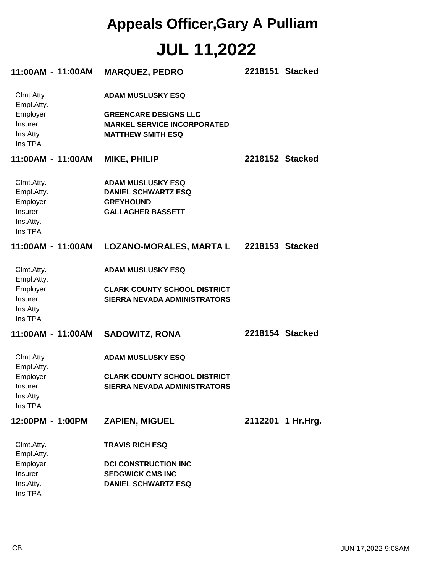## **JUL 11,2022 Appeals Officer,Gary A Pulliam**

| 11:00AM-11:00AM                                                                | <b>MARQUEZ, PEDRO</b>                                                                                                      | 2218151 Stacked   |
|--------------------------------------------------------------------------------|----------------------------------------------------------------------------------------------------------------------------|-------------------|
| Clmt.Atty.<br>Empl.Atty.<br>Employer<br>Insurer<br>Ins.Atty.<br>Ins TPA        | <b>ADAM MUSLUSKY ESQ</b><br><b>GREENCARE DESIGNS LLC</b><br><b>MARKEL SERVICE INCORPORATED</b><br><b>MATTHEW SMITH ESQ</b> |                   |
| 11:00AM - 11:00AM                                                              | <b>MIKE, PHILIP</b>                                                                                                        | 2218152 Stacked   |
| Clmt.Atty.<br>Empl.Atty.<br>Employer<br><b>Insurer</b><br>Ins.Atty.<br>Ins TPA | <b>ADAM MUSLUSKY ESQ</b><br><b>DANIEL SCHWARTZ ESQ</b><br><b>GREYHOUND</b><br><b>GALLAGHER BASSETT</b>                     |                   |
|                                                                                | 11:00AM - 11:00AM LOZANO-MORALES, MARTA L 2218153 Stacked                                                                  |                   |
| Clmt.Atty.<br>Empl.Atty.<br>Employer<br>Insurer<br>Ins.Atty.<br>Ins TPA        | <b>ADAM MUSLUSKY ESQ</b><br><b>CLARK COUNTY SCHOOL DISTRICT</b><br>SIERRA NEVADA ADMINISTRATORS                            |                   |
| 11:00AM - 11:00AM                                                              | <b>SADOWITZ, RONA</b>                                                                                                      | 2218154 Stacked   |
| Clmt.Atty.<br>Empl.Atty.<br>Employer<br>Insurer<br>Ins.Atty.<br>Ins TPA        | <b>ADAM MUSLUSKY ESQ</b><br><b>CLARK COUNTY SCHOOL DISTRICT</b><br>SIERRA NEVADA ADMINISTRATORS                            |                   |
| 12:00PM - 1:00PM                                                               | <b>ZAPIEN, MIGUEL</b>                                                                                                      | 2112201 1 Hr.Hrg. |
| Clmt.Atty.<br>Empl.Atty.<br>Employer<br>Insurer<br>Ins.Atty.<br>Ins TPA        | <b>TRAVIS RICH ESQ</b><br><b>DCI CONSTRUCTION INC</b><br><b>SEDGWICK CMS INC</b><br><b>DANIEL SCHWARTZ ESQ</b>             |                   |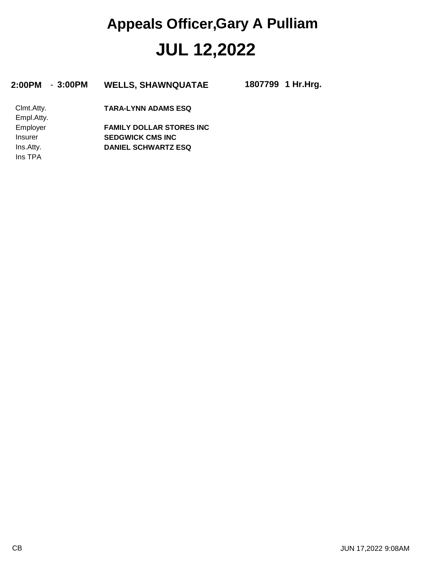#### **JUL 12,2022 Appeals Officer,Gary A Pulliam**

| 2:00PM<br>$-3:00PM$ | <b>WELLS, SHAWNQUATAE</b>       | 1807799 1 Hr.Hrg. |
|---------------------|---------------------------------|-------------------|
| Clmt.Atty.          | <b>TARA-LYNN ADAMS ESQ</b>      |                   |
| Empl.Atty.          |                                 |                   |
| Employer            | <b>FAMILY DOLLAR STORES INC</b> |                   |
| Insurer             | <b>SEDGWICK CMS INC</b>         |                   |
| Ins.Atty.           | <b>DANIEL SCHWARTZ ESQ</b>      |                   |

Ins TPA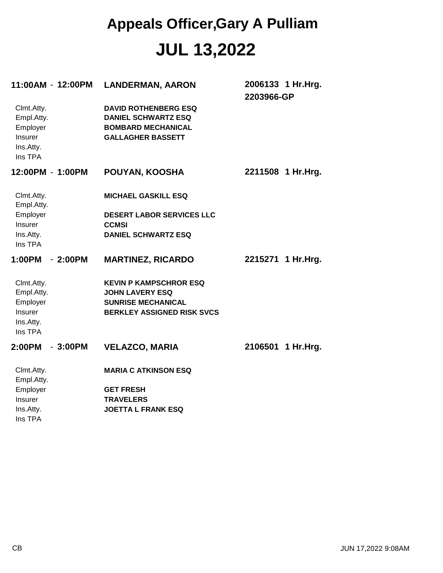#### **JUL 13,2022 Appeals Officer,Gary A Pulliam**

| 11:00AM-12:00PM                                                         | <b>LANDERMAN, AARON</b>                                                                                            | 2006133 1 Hr.Hrg.<br>2203966-GP |
|-------------------------------------------------------------------------|--------------------------------------------------------------------------------------------------------------------|---------------------------------|
| Clmt.Atty.<br>Empl.Atty.<br>Employer<br>Insurer<br>Ins.Atty.<br>Ins TPA | <b>DAVID ROTHENBERG ESQ</b><br><b>DANIEL SCHWARTZ ESQ</b><br><b>BOMBARD MECHANICAL</b><br><b>GALLAGHER BASSETT</b> |                                 |
| 12:00PM - 1:00PM                                                        | POUYAN, KOOSHA                                                                                                     | 2211508 1 Hr.Hrg.               |
| Clmt.Atty.<br>Empl.Atty.                                                | <b>MICHAEL GASKILL ESQ</b>                                                                                         |                                 |
| Employer                                                                | <b>DESERT LABOR SERVICES LLC</b>                                                                                   |                                 |
| <b>Insurer</b>                                                          | <b>CCMSI</b>                                                                                                       |                                 |
| Ins.Atty.<br>Ins TPA                                                    | <b>DANIEL SCHWARTZ ESQ</b>                                                                                         |                                 |
| 1:00PM<br>$-2:00PM$                                                     | <b>MARTINEZ, RICARDO</b>                                                                                           | 2215271 1 Hr.Hrg.               |
| Clmt.Atty.                                                              | <b>KEVIN P KAMPSCHROR ESQ</b>                                                                                      |                                 |
| Empl.Atty.<br>Employer                                                  | <b>JOHN LAVERY ESQ</b><br><b>SUNRISE MECHANICAL</b>                                                                |                                 |
| Insurer                                                                 | <b>BERKLEY ASSIGNED RISK SVCS</b>                                                                                  |                                 |
| Ins.Atty.                                                               |                                                                                                                    |                                 |
| Ins TPA                                                                 |                                                                                                                    |                                 |
| 2:00PM<br>$-3:00PM$                                                     | <b>VELAZCO, MARIA</b>                                                                                              | 2106501<br>1 Hr.Hrg.            |
| Clmt.Atty.<br>Empl.Atty.                                                | <b>MARIA C ATKINSON ESQ</b>                                                                                        |                                 |
| Employer                                                                | <b>GET FRESH</b>                                                                                                   |                                 |
| <b>Insurer</b>                                                          | <b>TRAVELERS</b>                                                                                                   |                                 |
| Ins.Atty.<br>Ins TPA                                                    | <b>JOETTA L FRANK ESQ</b>                                                                                          |                                 |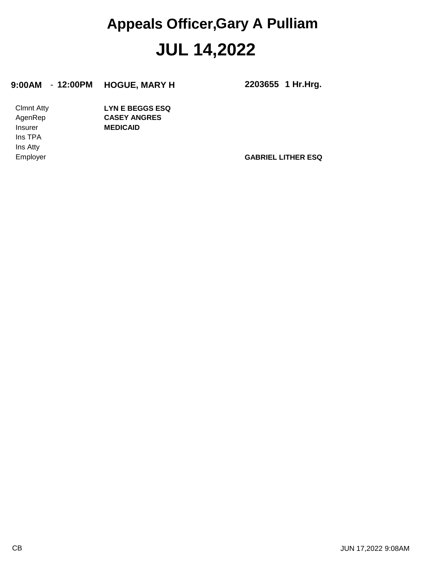#### **JUL 14,2022 Appeals Officer,Gary A Pulliam**

#### **9:00AM** - **12:00PM HOGUE, MARY H 2203655**

**1 Hr.Hrg.**

Ins Atty Ins TPA Insurer AgenRep Clmnt Atty **MEDICAID CASEY ANGRES LYN E BEGGS ESQ**

Employer **GABRIEL LITHER ESQ**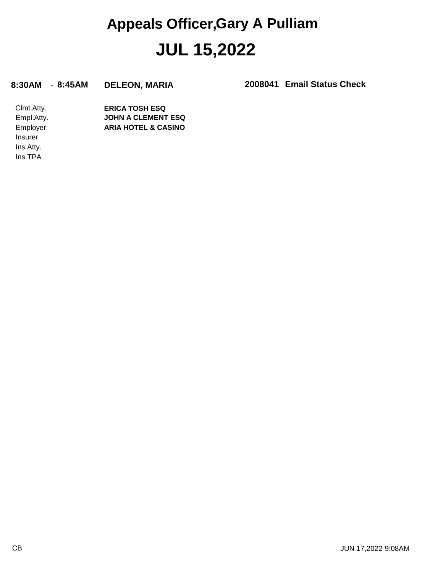#### **JUL 15,2022 Appeals Officer,Gary A Pulliam**

#### **8:30AM** - **8:45AM DELEON, MARIA 2008041**

**Email Status Check**

Ins.Atty. Insurer Employer Empl.Atty. Clmt.Atty. **ARIA HOTEL & CASINO JOHN A CLEMENT ESQ ERICA TOSH ESQ**

Ins TPA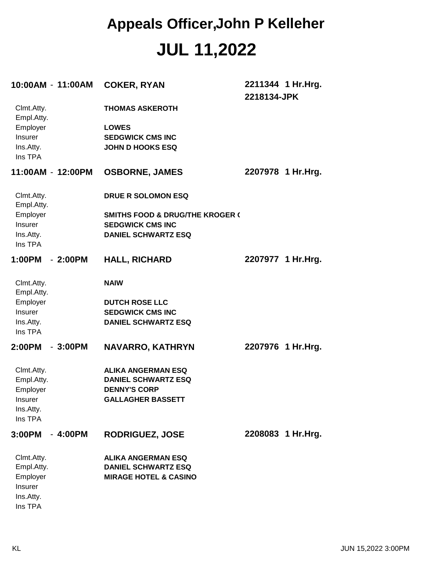#### **JUL 11,2022 Appeals Officer,John P Kelleher**

| 10:00AM - 11:00AM        |           | <b>COKER, RYAN</b>                                | 2211344 1 Hr. Hrg.<br>2218134-JPK |
|--------------------------|-----------|---------------------------------------------------|-----------------------------------|
| Clmt.Atty.<br>Empl.Atty. |           | <b>THOMAS ASKEROTH</b>                            |                                   |
| Employer<br>Insurer      |           | <b>LOWES</b><br><b>SEDGWICK CMS INC</b>           |                                   |
| Ins.Atty.<br>Ins TPA     |           | <b>JOHN D HOOKS ESQ</b>                           |                                   |
| 11:00AM - 12:00PM        |           | <b>OSBORNE, JAMES</b>                             | 2207978 1 Hr.Hrg.                 |
| Clmt.Atty.<br>Empl.Atty. |           | DRUE R SOLOMON ESQ                                |                                   |
| Employer                 |           | <b>SMITHS FOOD &amp; DRUG/THE KROGER (</b>        |                                   |
| Insurer                  |           | <b>SEDGWICK CMS INC</b>                           |                                   |
| Ins.Atty.<br>Ins TPA     |           | <b>DANIEL SCHWARTZ ESQ</b>                        |                                   |
| 1:00PM                   | $-2:00PM$ | <b>HALL, RICHARD</b>                              | 2207977 1 Hr. Hrg.                |
| Clmt.Atty.<br>Empl.Atty. |           | <b>NAIW</b>                                       |                                   |
| Employer                 |           | <b>DUTCH ROSE LLC</b>                             |                                   |
| Insurer                  |           | <b>SEDGWICK CMS INC</b>                           |                                   |
| Ins.Atty.<br>Ins TPA     |           | <b>DANIEL SCHWARTZ ESQ</b>                        |                                   |
| 2:00PM                   | $-3:00PM$ | <b>NAVARRO, KATHRYN</b>                           | 2207976 1 Hr. Hrg.                |
| Clmt.Atty.               |           | <b>ALIKA ANGERMAN ESQ</b>                         |                                   |
| Empl.Atty.<br>Employer   |           | <b>DANIEL SCHWARTZ ESQ</b><br><b>DENNY'S CORP</b> |                                   |
| Insurer                  |           | <b>GALLAGHER BASSETT</b>                          |                                   |
| Ins.Atty.                |           |                                                   |                                   |
| Ins TPA                  |           |                                                   |                                   |
| 3:00PM                   | $-4:00PM$ | <b>RODRIGUEZ, JOSE</b>                            | 2208083 1 Hr.Hrg.                 |
| Clmt.Atty.               |           | <b>ALIKA ANGERMAN ESQ</b>                         |                                   |
| Empl.Atty.               |           | <b>DANIEL SCHWARTZ ESQ</b>                        |                                   |
| Employer<br>Insurer      |           | <b>MIRAGE HOTEL &amp; CASINO</b>                  |                                   |
| Ins.Atty.                |           |                                                   |                                   |
| Ins TPA                  |           |                                                   |                                   |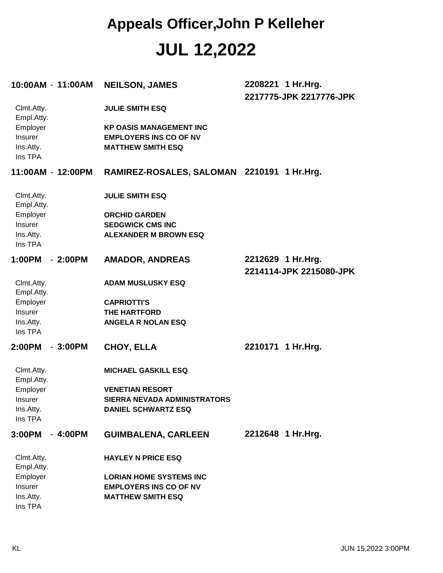### **JUL 12,2022 Appeals Officer,John P Kelleher**

| 10:00AM - 11:00AM                           |           | <b>NEILSON, JAMES</b>                                                                       | 2208221 1 Hr.Hrg.<br>2217775-JPK 2217776-JPK |
|---------------------------------------------|-----------|---------------------------------------------------------------------------------------------|----------------------------------------------|
| Clmt.Atty.<br>Empl.Atty.                    |           | <b>JULIE SMITH ESQ</b>                                                                      |                                              |
| Employer<br>Insurer<br>Ins.Atty.<br>Ins TPA |           | <b>KP OASIS MANAGEMENT INC</b><br><b>EMPLOYERS INS CO OF NV</b><br><b>MATTHEW SMITH ESQ</b> |                                              |
| 11:00AM - 12:00PM                           |           | RAMIREZ-ROSALES, SALOMAN 2210191 1 Hr.Hrg.                                                  |                                              |
| Clmt.Atty.<br>Empl.Atty.                    |           | <b>JULIE SMITH ESQ</b>                                                                      |                                              |
| Employer                                    |           | <b>ORCHID GARDEN</b>                                                                        |                                              |
| Insurer                                     |           | <b>SEDGWICK CMS INC</b>                                                                     |                                              |
| Ins.Atty.                                   |           | <b>ALEXANDER M BROWN ESQ</b>                                                                |                                              |
| Ins TPA                                     |           |                                                                                             |                                              |
| 1:00PM                                      | $-2:00PM$ |                                                                                             |                                              |
|                                             |           | <b>AMADOR, ANDREAS</b>                                                                      | 2212629 1 Hr.Hrg.<br>2214114-JPK 2215080-JPK |
| Clmt.Atty.<br>Empl.Atty.                    |           | <b>ADAM MUSLUSKY ESQ</b>                                                                    |                                              |
| Employer                                    |           | <b>CAPRIOTTI'S</b>                                                                          |                                              |
| Insurer                                     |           | <b>THE HARTFORD</b>                                                                         |                                              |
| Ins.Atty.<br>Ins TPA                        |           | <b>ANGELA R NOLAN ESQ</b>                                                                   |                                              |
| 2:00PM                                      | $-3:00PM$ | <b>CHOY, ELLA</b>                                                                           | 2210171 1 Hr. Hrg.                           |
| Clmt.Atty.<br>Empl.Atty.                    |           | <b>MICHAEL GASKILL ESQ</b>                                                                  |                                              |
| Employer                                    |           | <b>VENETIAN RESORT</b>                                                                      |                                              |
| <b>Insurer</b>                              |           | <b>SIERRA NEVADA ADMINISTRATORS</b>                                                         |                                              |
| Ins.Atty.                                   |           | <b>DANIEL SCHWARTZ ESQ</b>                                                                  |                                              |
| Ins TPA                                     |           |                                                                                             |                                              |
| 3:00PM                                      | $-4:00PM$ | <b>GUIMBALENA, CARLEEN</b>                                                                  | 2212648 1 Hr.Hrg.                            |
| Clmt.Atty.<br>Empl.Atty.                    |           | <b>HAYLEY N PRICE ESQ</b>                                                                   |                                              |
| Employer                                    |           | <b>LORIAN HOME SYSTEMS INC</b>                                                              |                                              |
| Insurer                                     |           | <b>EMPLOYERS INS CO OF NV</b>                                                               |                                              |
| Ins.Atty.                                   |           | <b>MATTHEW SMITH ESQ</b>                                                                    |                                              |
| Ins TPA                                     |           |                                                                                             |                                              |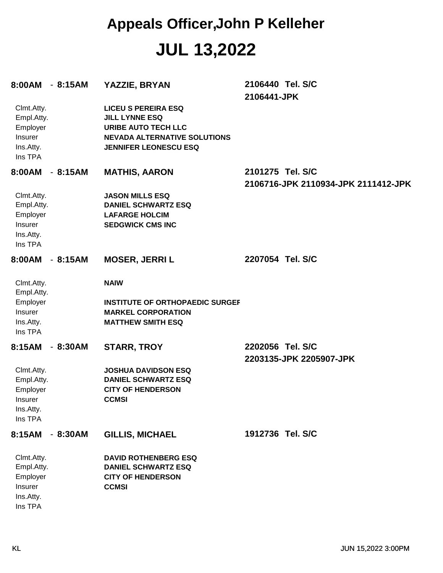#### **JUL 13,2022 Appeals Officer,John P Kelleher**

| 8:00AM - 8:15AM                                                                |           | YAZZIE, BRYAN                                                                                                                                            | 2106440 Tel. S/C<br>2106441-JPK                         |
|--------------------------------------------------------------------------------|-----------|----------------------------------------------------------------------------------------------------------------------------------------------------------|---------------------------------------------------------|
| Clmt.Atty.<br>Empl.Atty.<br>Employer<br>Insurer<br>Ins.Atty.<br>Ins TPA        |           | <b>LICEU S PEREIRA ESQ</b><br><b>JILL LYNNE ESQ</b><br><b>URIBE AUTO TECH LLC</b><br><b>NEVADA ALTERNATIVE SOLUTIONS</b><br><b>JENNIFER LEONESCU ESQ</b> |                                                         |
| 8:00AM                                                                         | $-8:15AM$ | <b>MATHIS, AARON</b>                                                                                                                                     | 2101275 Tel. S/C<br>2106716-JPK 2110934-JPK 2111412-JPK |
| Clmt.Atty.<br>Empl.Atty.<br>Employer<br>Insurer<br>Ins.Atty.<br>Ins TPA        |           | <b>JASON MILLS ESQ</b><br><b>DANIEL SCHWARTZ ESQ</b><br><b>LAFARGE HOLCIM</b><br><b>SEDGWICK CMS INC</b>                                                 |                                                         |
| 8:00AM                                                                         | $-8:15AM$ | <b>MOSER, JERRI L</b>                                                                                                                                    | 2207054 Tel. S/C                                        |
| Clmt.Atty.<br>Empl.Atty.<br>Employer<br>Insurer<br>Ins.Atty.<br>Ins TPA        |           | <b>NAIW</b><br><b>INSTITUTE OF ORTHOPAEDIC SURGEF</b><br><b>MARKEL CORPORATION</b><br><b>MATTHEW SMITH ESQ</b>                                           |                                                         |
| 8:15AM                                                                         | $-8:30AM$ | <b>STARR, TROY</b>                                                                                                                                       | 2202056 Tel. S/C<br>2203135-JPK 2205907-JPK             |
| Clmt.Atty.<br>Empl.Atty.<br>Employer<br><b>Insurer</b><br>Ins.Atty.<br>Ins TPA |           | <b>JOSHUA DAVIDSON ESQ</b><br><b>DANIEL SCHWARTZ ESQ</b><br><b>CITY OF HENDERSON</b><br><b>CCMSI</b>                                                     |                                                         |
| 8:15AM                                                                         | $-8:30AM$ | <b>GILLIS, MICHAEL</b>                                                                                                                                   | 1912736 Tel. S/C                                        |
| Clmt.Atty.<br>Empl.Atty.<br>Employer<br>Insurer<br>Ins.Atty.<br>Ins TPA        |           | <b>DAVID ROTHENBERG ESQ</b><br><b>DANIEL SCHWARTZ ESQ</b><br><b>CITY OF HENDERSON</b><br><b>CCMSI</b>                                                    |                                                         |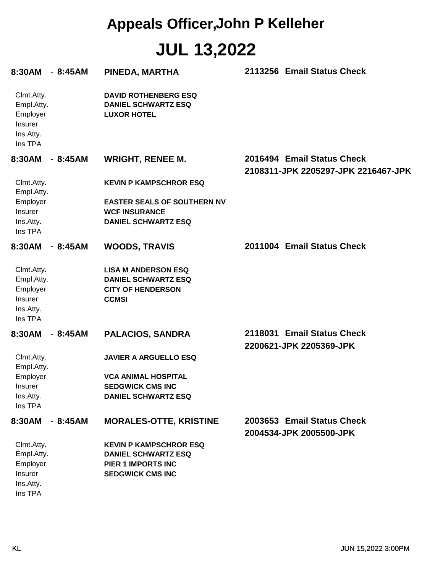# **JUL 13,2022 Appeals Officer,John P Kelleher**

| 8:30AM                                                                  | $-8:45AM$ | PINEDA, MARTHA                                                                                                      | 2113256 Email Status Check                                        |
|-------------------------------------------------------------------------|-----------|---------------------------------------------------------------------------------------------------------------------|-------------------------------------------------------------------|
| Clmt.Atty.<br>Empl.Atty.<br>Employer<br>Insurer<br>Ins.Atty.<br>Ins TPA |           | <b>DAVID ROTHENBERG ESQ</b><br><b>DANIEL SCHWARTZ ESQ</b><br><b>LUXOR HOTEL</b>                                     |                                                                   |
| 8:30AM                                                                  | $-8:45AM$ | <b>WRIGHT, RENEE M.</b>                                                                                             | 2016494 Email Status Check<br>2108311-JPK 2205297-JPK 2216467-JPK |
| Clmt.Atty.<br>Empl.Atty.                                                |           | <b>KEVIN P KAMPSCHROR ESQ</b>                                                                                       |                                                                   |
| Employer<br>Insurer<br>Ins.Atty.<br>Ins TPA                             |           | <b>EASTER SEALS OF SOUTHERN NV</b><br><b>WCF INSURANCE</b><br><b>DANIEL SCHWARTZ ESQ</b>                            |                                                                   |
| 8:30AM                                                                  | $-8:45AM$ | <b>WOODS, TRAVIS</b>                                                                                                | 2011004 Email Status Check                                        |
| Clmt.Atty.<br>Empl.Atty.<br>Employer<br>Insurer<br>Ins.Atty.<br>Ins TPA |           | <b>LISA M ANDERSON ESQ</b><br><b>DANIEL SCHWARTZ ESQ</b><br><b>CITY OF HENDERSON</b><br><b>CCMSI</b>                |                                                                   |
| 8:30AM                                                                  | $-8:45AM$ | <b>PALACIOS, SANDRA</b>                                                                                             | 2118031 Email Status Check<br>2200621-JPK 2205369-JPK             |
| Clmt.Atty.<br>Empl.Atty.                                                |           | <b>JAVIER A ARGUELLO ESQ</b>                                                                                        |                                                                   |
| Employer<br>Insurer<br>Ins.Atty.<br>Ins TPA                             |           | <b>VCA ANIMAL HOSPITAL</b><br><b>SEDGWICK CMS INC</b><br><b>DANIEL SCHWARTZ ESQ</b>                                 |                                                                   |
| 8:30AM                                                                  | $-8:45AM$ | <b>MORALES-OTTE, KRISTINE</b>                                                                                       | 2003653 Email Status Check<br>2004534-JPK 2005500-JPK             |
| Clmt.Atty.<br>Empl.Atty.<br>Employer<br>Insurer<br>Ins.Atty.<br>Ins TPA |           | <b>KEVIN P KAMPSCHROR ESQ</b><br><b>DANIEL SCHWARTZ ESQ</b><br><b>PIER 1 IMPORTS INC</b><br><b>SEDGWICK CMS INC</b> |                                                                   |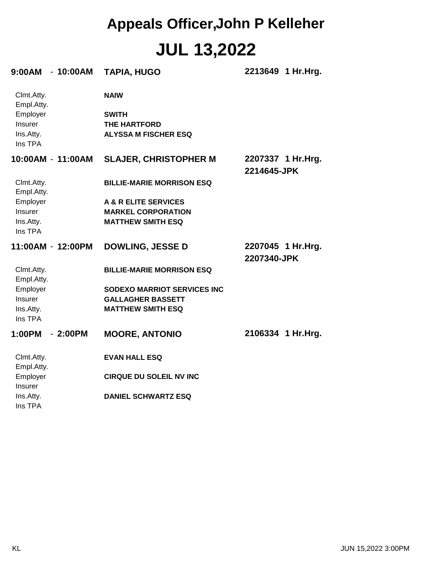## **JUL 13,2022 Appeals Officer,John P Kelleher**

| 9:00AM - 10:00AM         | <b>TAPIA, HUGO</b>                 | 2213649 1 Hr. Hrg.                |
|--------------------------|------------------------------------|-----------------------------------|
| Clmt.Atty.<br>Empl.Atty. | <b>NAIW</b>                        |                                   |
| Employer                 | <b>SWITH</b>                       |                                   |
| Insurer                  | <b>THE HARTFORD</b>                |                                   |
| Ins.Atty.                | <b>ALYSSA M FISCHER ESQ</b>        |                                   |
| Ins TPA                  |                                    |                                   |
| 10:00AM - 11:00AM        | <b>SLAJER, CHRISTOPHER M</b>       | 2207337 1 Hr.Hrg.<br>2214645-JPK  |
| Clmt.Atty.<br>Empl.Atty. | <b>BILLIE-MARIE MORRISON ESQ</b>   |                                   |
| Employer                 | A & R ELITE SERVICES               |                                   |
| Insurer                  | <b>MARKEL CORPORATION</b>          |                                   |
| Ins.Atty.                | <b>MATTHEW SMITH ESQ</b>           |                                   |
| Ins TPA                  |                                    |                                   |
| 11:00AM - 12:00PM        | <b>DOWLING, JESSE D</b>            | 2207045 1 Hr. Hrg.<br>2207340-JPK |
| Clmt.Atty.<br>Empl.Atty. | <b>BILLIE-MARIE MORRISON ESQ</b>   |                                   |
| Employer                 | <b>SODEXO MARRIOT SERVICES INC</b> |                                   |
| Insurer                  | <b>GALLAGHER BASSETT</b>           |                                   |
| Ins.Atty.                | <b>MATTHEW SMITH ESQ</b>           |                                   |
| Ins TPA                  |                                    |                                   |
| 1:00PM<br>$-2:00PM$      | <b>MOORE, ANTONIO</b>              | 2106334 1 Hr.Hrg.                 |
| Clmt.Atty.               | <b>EVAN HALL ESQ</b>               |                                   |
| Empl.Atty.               |                                    |                                   |
| Employer                 | <b>CIRQUE DU SOLEIL NV INC</b>     |                                   |
| <b>Insurer</b>           |                                    |                                   |
| Ins.Atty.<br>Ins TPA     | <b>DANIEL SCHWARTZ ESQ</b>         |                                   |
|                          |                                    |                                   |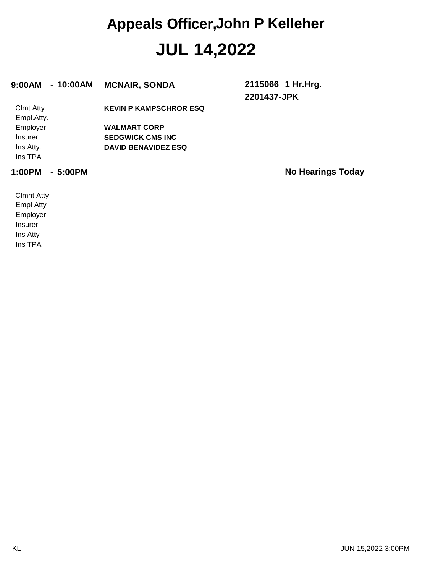#### **JUL 14,2022 Appeals Officer,John P Kelleher**

#### **9:00AM** - **10:00AM MCNAIR, SONDA 2115066**

**2201437-JPK 1 Hr.Hrg.**

| Clmt.Atty.     | <b>KEVIN P KAMPSCHROR ESQ</b> |
|----------------|-------------------------------|
| Empl.Atty.     |                               |
| Employer       | <b>WALMART CORP</b>           |
| <b>Insurer</b> | <b>SEDGWICK CMS INC</b>       |
| Ins.Atty.      | <b>DAVID BENAVIDEZ ESQ</b>    |
| Ins TPA        |                               |
|                |                               |

**1:00PM** - **5:00PM No Hearings Today**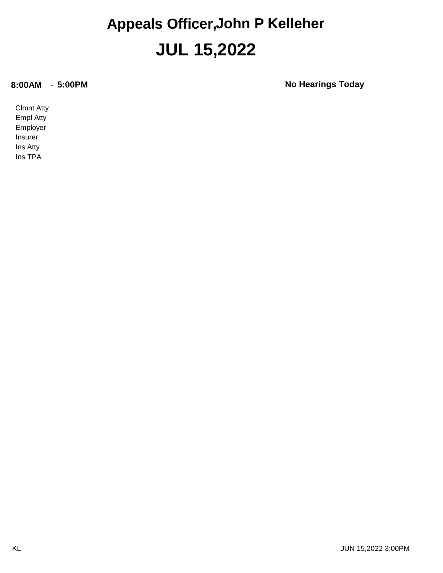#### **JUL 15,2022 Appeals Officer,John P Kelleher**

**8:00AM** - **5:00PM No Hearings Today**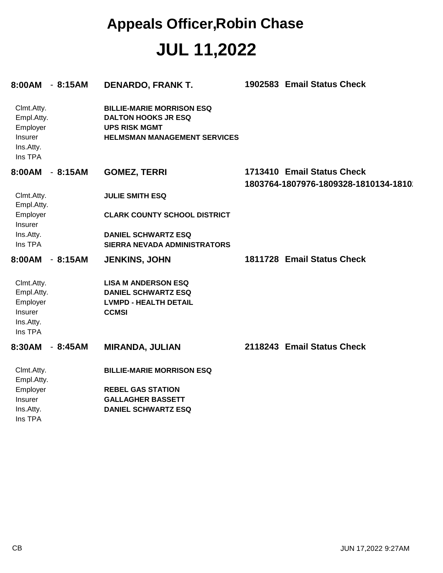#### **JUL 11,2022 Appeals Officer,Robin Chase**

| 8:00AM - 8:15AM                                                         |           | <b>DENARDO, FRANK T.</b>                                                                                                      | 1902583 Email Status Check                                         |
|-------------------------------------------------------------------------|-----------|-------------------------------------------------------------------------------------------------------------------------------|--------------------------------------------------------------------|
| Clmt.Atty.<br>Empl.Atty.<br>Employer<br>Insurer<br>Ins.Atty.<br>Ins TPA |           | <b>BILLIE-MARIE MORRISON ESQ</b><br><b>DALTON HOOKS JR ESQ</b><br><b>UPS RISK MGMT</b><br><b>HELMSMAN MANAGEMENT SERVICES</b> |                                                                    |
| 8:00AM                                                                  | 8:15AM    | <b>GOMEZ, TERRI</b>                                                                                                           | 1713410 Email Status Check<br>1803764-1807976-1809328-1810134-1810 |
| Clmt.Atty.<br>Empl.Atty.                                                |           | <b>JULIE SMITH ESQ</b>                                                                                                        |                                                                    |
| Employer<br>Insurer                                                     |           | <b>CLARK COUNTY SCHOOL DISTRICT</b>                                                                                           |                                                                    |
| Ins.Atty.<br>Ins TPA                                                    |           | <b>DANIEL SCHWARTZ ESQ</b><br>SIERRA NEVADA ADMINISTRATORS                                                                    |                                                                    |
| 8:00AM                                                                  | $-8:15AM$ | <b>JENKINS, JOHN</b>                                                                                                          | 1811728 Email Status Check                                         |
| Clmt.Atty.<br>Empl.Atty.<br>Employer<br>Insurer<br>Ins.Atty.<br>Ins TPA |           | <b>LISA M ANDERSON ESQ</b><br><b>DANIEL SCHWARTZ ESQ</b><br><b>LVMPD - HEALTH DETAIL</b><br><b>CCMSI</b>                      |                                                                    |
| 8:30AM<br>$\overline{\phantom{a}}$                                      | 8:45AM    | <b>MIRANDA, JULIAN</b>                                                                                                        | 2118243 Email Status Check                                         |
| Clmt.Atty.<br>Empl.Atty.                                                |           | <b>BILLIE-MARIE MORRISON ESQ</b>                                                                                              |                                                                    |
| Employer                                                                |           | <b>REBEL GAS STATION</b>                                                                                                      |                                                                    |
| Insurer                                                                 |           | <b>GALLAGHER BASSETT</b>                                                                                                      |                                                                    |
| Ins.Atty.<br>Ins TPA                                                    |           | <b>DANIEL SCHWARTZ ESQ</b>                                                                                                    |                                                                    |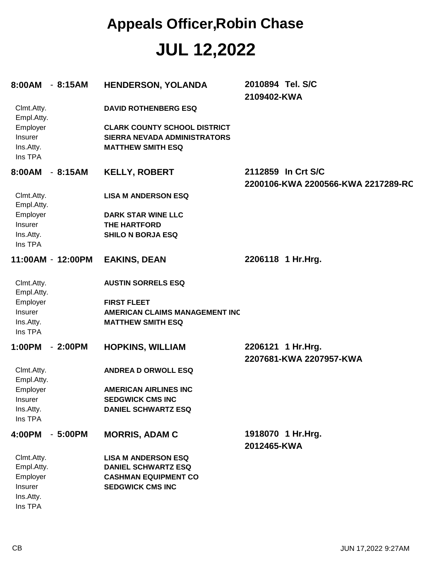**JUL 12,2022 Appeals Officer,Robin Chase**

| 8:00AM                                      | $-8:15AM$         | <b>HENDERSON, YOLANDA</b>                                                                       | 2010894 Tel. S/C<br>2109402-KWA                          |
|---------------------------------------------|-------------------|-------------------------------------------------------------------------------------------------|----------------------------------------------------------|
| Clmt.Atty.<br>Empl.Atty.                    |                   | <b>DAVID ROTHENBERG ESQ</b>                                                                     |                                                          |
| Employer<br>Insurer<br>Ins.Atty.<br>Ins TPA |                   | <b>CLARK COUNTY SCHOOL DISTRICT</b><br>SIERRA NEVADA ADMINISTRATORS<br><b>MATTHEW SMITH ESQ</b> |                                                          |
| 8:00AM                                      | $-8:15AM$         | <b>KELLY, ROBERT</b>                                                                            | 2112859 In Crt S/C<br>2200106-KWA 2200566-KWA 2217289-RC |
| Clmt.Atty.<br>Empl.Atty.                    |                   | <b>LISA M ANDERSON ESQ</b>                                                                      |                                                          |
| Employer                                    |                   | <b>DARK STAR WINE LLC</b>                                                                       |                                                          |
| Insurer                                     |                   | <b>THE HARTFORD</b>                                                                             |                                                          |
| Ins.Atty.<br>Ins TPA                        |                   | <b>SHILO N BORJA ESQ</b>                                                                        |                                                          |
|                                             | 11:00AM - 12:00PM | <b>EAKINS, DEAN</b>                                                                             | 2206118 1 Hr.Hrg.                                        |
| Clmt.Atty.<br>Empl.Atty.                    |                   | <b>AUSTIN SORRELS ESQ</b>                                                                       |                                                          |
| Employer                                    |                   | <b>FIRST FLEET</b>                                                                              |                                                          |
| Insurer                                     |                   | <b>AMERICAN CLAIMS MANAGEMENT INC</b>                                                           |                                                          |
| Ins.Atty.<br>Ins TPA                        |                   | <b>MATTHEW SMITH ESQ</b>                                                                        |                                                          |
| 1:00PM                                      | $-2:00PM$         | <b>HOPKINS, WILLIAM</b>                                                                         | 2206121 1 Hr.Hrg.<br>2207681-KWA 2207957-KWA             |
| Clmt.Atty.<br>Empl.Atty.                    |                   | <b>ANDREA D ORWOLL ESQ</b>                                                                      |                                                          |
| Employer                                    |                   | <b>AMERICAN AIRLINES INC</b>                                                                    |                                                          |
| Insurer                                     |                   | <b>SEDGWICK CMS INC</b>                                                                         |                                                          |
| Ins.Atty.                                   |                   | <b>DANIEL SCHWARTZ ESQ</b>                                                                      |                                                          |
| Ins TPA                                     |                   |                                                                                                 |                                                          |
| 4:00PM                                      | $-5:00PM$         | <b>MORRIS, ADAM C</b>                                                                           | 1918070 1 Hr.Hrg.<br>2012465-KWA                         |
| Clmt.Atty.                                  |                   | <b>LISA M ANDERSON ESQ</b>                                                                      |                                                          |
| Empl.Atty.                                  |                   | <b>DANIEL SCHWARTZ ESQ</b>                                                                      |                                                          |
| Employer                                    |                   | <b>CASHMAN EQUIPMENT CO</b>                                                                     |                                                          |
| Insurer                                     |                   | <b>SEDGWICK CMS INC</b>                                                                         |                                                          |
| Ins.Atty.<br>Ins TPA                        |                   |                                                                                                 |                                                          |
|                                             |                   |                                                                                                 |                                                          |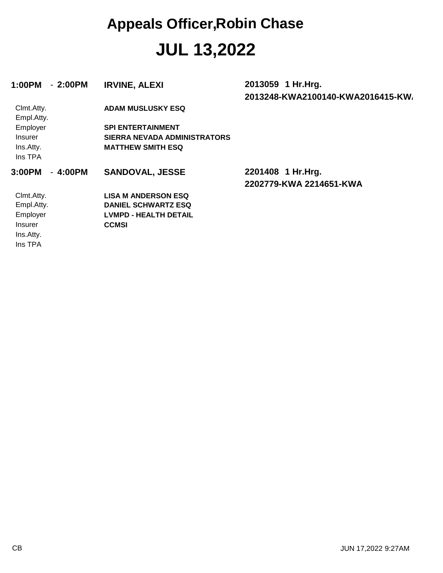### **JUL 13,2022 Appeals Officer,Robin Chase**

| $-2:00PM$<br>1:00PM                                                            | <b>IRVINE, ALEXI</b>                                                                                                    | 2013059 1 Hr.Hrg.<br>2013248-KWA2100140-KWA2016415-KW |
|--------------------------------------------------------------------------------|-------------------------------------------------------------------------------------------------------------------------|-------------------------------------------------------|
| Clmt.Atty.<br>Empl.Atty.<br>Employer<br><b>Insurer</b><br>Ins.Atty.<br>Ins TPA | <b>ADAM MUSLUSKY ESQ</b><br><b>SPI ENTERTAINMENT</b><br><b>SIERRA NEVADA ADMINISTRATORS</b><br><b>MATTHEW SMITH ESQ</b> |                                                       |
| $-4:00PM$<br>3:00PM                                                            | <b>SANDOVAL, JESSE</b>                                                                                                  | 2201408 1 Hr.Hrg.<br>2202779-KWA 2214651-KWA          |
| Clmt.Atty.<br>Empl.Atty.<br>Employer<br><b>Insurer</b><br>Ins.Atty.<br>Ins TPA | <b>LISA M ANDERSON ESQ</b><br><b>DANIEL SCHWARTZ ESQ</b><br><b>LVMPD - HEALTH DETAIL</b><br><b>CCMSI</b>                |                                                       |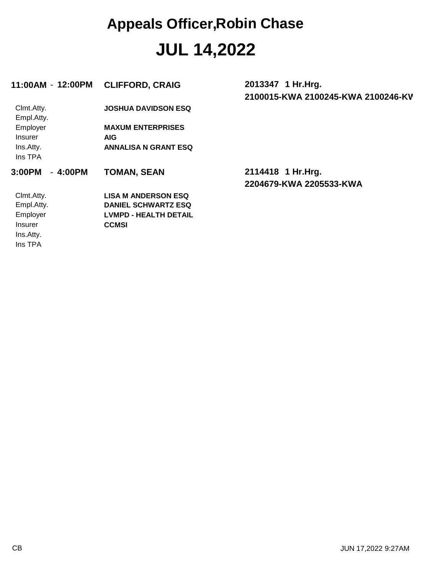### **JUL 14,2022 Appeals Officer,Robin Chase**

| 11:00AM - 12:00PM        | <b>CLIFFORD, CRAIG</b>       | 2013347 1 Hr. Hrg.<br>2100015-KWA 2100245-KWA 2100246-KV |
|--------------------------|------------------------------|----------------------------------------------------------|
| Clmt.Atty.<br>Empl.Atty. | <b>JOSHUA DAVIDSON ESQ</b>   |                                                          |
| Employer                 | <b>MAXUM ENTERPRISES</b>     |                                                          |
| <b>Insurer</b>           | <b>AIG</b>                   |                                                          |
| Ins.Atty.                | <b>ANNALISA N GRANT ESQ</b>  |                                                          |
| Ins TPA                  |                              |                                                          |
| $-4:00PM$<br>3:00PM      | <b>TOMAN, SEAN</b>           | 2114418 1 Hr.Hrg.                                        |
|                          |                              | 2204679-KWA 2205533-KWA                                  |
| Clmt.Atty.               | <b>LISA M ANDERSON ESQ</b>   |                                                          |
| Empl.Atty.               | <b>DANIEL SCHWARTZ ESQ</b>   |                                                          |
| Employer                 | <b>LVMPD - HEALTH DETAIL</b> |                                                          |
| <b>Insurer</b>           | <b>CCMSI</b>                 |                                                          |
| Ins.Atty.                |                              |                                                          |
| Ins TPA                  |                              |                                                          |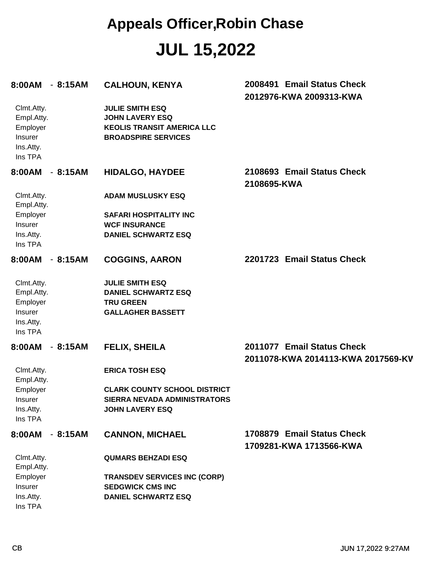#### **JUL 15,2022 Appeals Officer,Robin Chase**

| 8:00AM - 8:15AM                                                         |           | <b>CALHOUN, KENYA</b>                                                                                               | 2008491 Email Status Check<br>2012976-KWA 2009313-KWA            |
|-------------------------------------------------------------------------|-----------|---------------------------------------------------------------------------------------------------------------------|------------------------------------------------------------------|
| Clmt.Atty.<br>Empl.Atty.<br>Employer<br>Insurer<br>Ins.Atty.<br>Ins TPA |           | <b>JULIE SMITH ESQ</b><br><b>JOHN LAVERY ESQ</b><br><b>KEOLIS TRANSIT AMERICA LLC</b><br><b>BROADSPIRE SERVICES</b> |                                                                  |
| 8:00AM                                                                  | $-8:15AM$ | <b>HIDALGO, HAYDEE</b>                                                                                              | 2108693 Email Status Check<br>2108695-KWA                        |
| Clmt.Atty.<br>Empl.Atty.                                                |           | <b>ADAM MUSLUSKY ESQ</b>                                                                                            |                                                                  |
| Employer                                                                |           | <b>SAFARI HOSPITALITY INC</b>                                                                                       |                                                                  |
| Insurer                                                                 |           | <b>WCF INSURANCE</b>                                                                                                |                                                                  |
| Ins.Atty.<br>Ins TPA                                                    |           | <b>DANIEL SCHWARTZ ESQ</b>                                                                                          |                                                                  |
| 8:00AM                                                                  | $-8:15AM$ | <b>COGGINS, AARON</b>                                                                                               | 2201723 Email Status Check                                       |
| Clmt.Atty.                                                              |           | <b>JULIE SMITH ESQ</b>                                                                                              |                                                                  |
| Empl.Atty.                                                              |           | <b>DANIEL SCHWARTZ ESQ</b>                                                                                          |                                                                  |
| Employer<br>Insurer                                                     |           | <b>TRU GREEN</b><br><b>GALLAGHER BASSETT</b>                                                                        |                                                                  |
| Ins.Atty.                                                               |           |                                                                                                                     |                                                                  |
| Ins TPA                                                                 |           |                                                                                                                     |                                                                  |
| 8:00AM                                                                  | $-8:15AM$ | <b>FELIX, SHEILA</b>                                                                                                | 2011077 Email Status Check<br>2011078-KWA 2014113-KWA 2017569-KV |
| Clmt.Atty.<br>Empl.Atty.                                                |           | <b>ERICA TOSH ESQ</b>                                                                                               |                                                                  |
| Employer                                                                |           | <b>CLARK COUNTY SCHOOL DISTRICT</b>                                                                                 |                                                                  |
| <b>Insurer</b>                                                          |           | SIERRA NEVADA ADMINISTRATORS                                                                                        |                                                                  |
| Ins.Atty.<br>Ins TPA                                                    |           | <b>JOHN LAVERY ESQ</b>                                                                                              |                                                                  |
| 8:00AM                                                                  | $-8:15AM$ | <b>CANNON, MICHAEL</b>                                                                                              | 1708879 Email Status Check                                       |
|                                                                         |           |                                                                                                                     | 1709281-KWA 1713566-KWA                                          |
| Clmt.Atty.<br>Empl.Atty.                                                |           | <b>QUMARS BEHZADI ESQ</b>                                                                                           |                                                                  |
| Employer                                                                |           | <b>TRANSDEV SERVICES INC (CORP)</b>                                                                                 |                                                                  |
| Insurer                                                                 |           | <b>SEDGWICK CMS INC</b>                                                                                             |                                                                  |
| Ins.Atty.<br>Ins TPA                                                    |           | <b>DANIEL SCHWARTZ ESQ</b>                                                                                          |                                                                  |